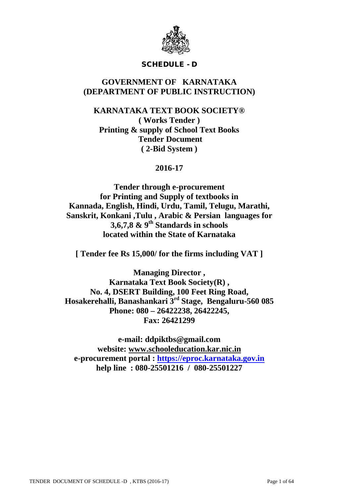

# SCHEDULE - D

# **GOVERNMENT OF KARNATAKA (DEPARTMENT OF PUBLIC INSTRUCTION)**

# **KARNATAKA TEXT BOOK SOCIETY® ( Works Tender ) Printing & supply of School Text Books Tender Document ( 2-Bid System )**

# **2016-17**

**Tender through e-procurement for Printing and Supply of textbooks in Kannada, English, Hindi, Urdu, Tamil, Telugu, Marathi, Sanskrit, Konkani ,Tulu , Arabic & Persian languages for 3,6,7,8 & 9th Standards in schools located within the State of Karnataka**

**[ Tender fee Rs 15,000/ for the firms including VAT ]**

**Managing Director , Karnataka Text Book Society(R) , No. 4, DSERT Building, 100 Feet Ring Road, Hosakerehalli, Banashankari 3rd Stage, Bengaluru-560 085 Phone: 080 – 26422238, 26422245, Fax: 26421299**

**e-mail: ddpiktbs@gmail.com website: [www.schooleducation.kar.nic.in](http://www.schooleducation.kar.nic.in/) e-procurement portal : [https://eproc.karnataka.gov.in](https://eproc.karnataka.gov.in/) help line : 080-25501216 / 080-25501227**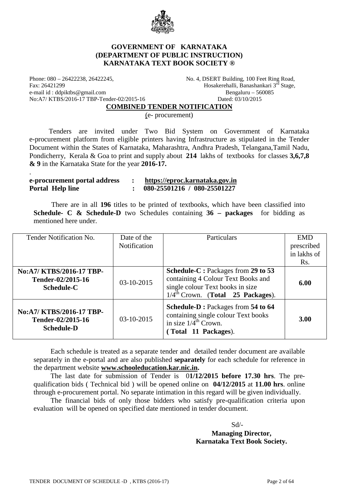

### **GOVERNMENT OF KARNATAKA (DEPARTMENT OF PUBLIC INSTRUCTION) KARNATAKA TEXT BOOK SOCIETY ®**

Phone: 080 – 26422238, 26422245,<br>
Fax: 26421299<br>
Hosakerehalli, Banashankari 3<sup>rd</sup> Stage.<br>
Hosakerehalli, Banashankari 3<sup>rd</sup> Stage. e-mail id : ddpiktbs@gmail.com Bengaluru – 560085 No:A7/ KTBS/2016-17 TBP-Tender-02/2015-16 Dated: 03/10/2015

.

Hosakerehalli, Banashankari  $3^{\overline{rd}}$  Stage,

**COMBINED TENDER NOTIFICATION**

(e- procurement)

 Tenders are invited under Two Bid System on Government of Karnataka e-procurement platform from eligible printers having Infrastructure as stipulated in the Tender Document within the States of Karnataka, Maharashtra, Andhra Pradesh, Telangana,Tamil Nadu, Pondicherry, Kerala & Goa to print and supply about **214** lakhs of textbooks for classes **3,6,7,8 & 9** in the Karnataka State for the year **2016-17.**

| e-procurement portal address | https://eproc.karnataka.gov.in |
|------------------------------|--------------------------------|
| <b>Portal Help line</b>      | 080-25501216 / 080-25501227    |

 There are in all **196** titles to be printed of textbooks, which have been classified into **Schedule- C & Schedule-D** two Schedules containing **36 – packages** for bidding as mentioned here under.

| Tender Notification No.                                            | Date of the  | Particulars                                                                                                                                                   | <b>EMD</b>  |
|--------------------------------------------------------------------|--------------|---------------------------------------------------------------------------------------------------------------------------------------------------------------|-------------|
|                                                                    | Notification |                                                                                                                                                               | prescribed  |
|                                                                    |              |                                                                                                                                                               | in lakhs of |
|                                                                    |              |                                                                                                                                                               | Rs.         |
| No:A7/ KTBS/2016-17 TBP-<br>Tender-02/2015-16<br><b>Schedule-C</b> | $03-10-2015$ | Schedule-C: Packages from 29 to 53<br>containing 4 Colour Text Books and<br>single colour Text books in size<br>$1/4^{\text{th}}$ Crown. (Total 25 Packages). | 6.00        |
| No:A7/ KTBS/2016-17 TBP-<br>Tender-02/2015-16<br><b>Schedule-D</b> | $03-10-2015$ | Schedule-D: Packages from 54 to 64<br>containing single colour Text books<br>in size $1/4^{\text{th}}$ Crown.<br>(Total 11 Packages).                         | 3.00        |

Each schedule is treated as a separate tender and detailed tender document are available separately in the e-portal and are also published **separately** for each schedule for reference in the department website **[www.schooleducation.kar.nic.in.](http://www.schooleducation.kar.nic.in/)**

The last date for submission of Tender is 0**1/12/2015 before 17.30 hrs**. The prequalification bids ( Technical bid ) will be opened online on **04/12/2015** at **11.00 hrs**. online through e-procurement portal. No separate intimation in this regard will be given individually.

The financial bids of only those bidders who satisfy pre-qualification criteria upon evaluation will be opened on specified date mentioned in tender document.

Sd/-

# **Managing Director, Karnataka Text Book Society.**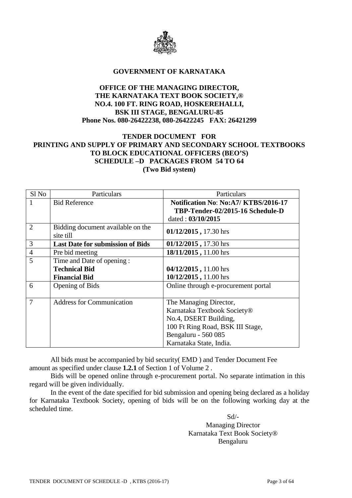

#### **GOVERNMENT OF KARNATAKA**

# **OFFICE OF THE MANAGING DIRECTOR, THE KARNATAKA TEXT BOOK SOCIETY,® NO.4. 100 FT. RING ROAD, HOSKEREHALLI, BSK III STAGE, BENGALURU-85 Phone Nos. 080-26422238, 080-26422245 FAX: 26421299**

# **TENDER DOCUMENT FOR PRINTING AND SUPPLY OF PRIMARY AND SECONDARY SCHOOL TEXTBOOKS TO BLOCK EDUCATIONAL OFFICERS (BEO'S) SCHEDULE –D PACKAGES FROM 54 TO 64 (Two Bid system)**

| Sl No          | Particulars                             | Particulars                         |
|----------------|-----------------------------------------|-------------------------------------|
| 1              | <b>Bid Reference</b>                    | Notification No: No:A7/KTBS/2016-17 |
|                |                                         | TBP-Tender-02/2015-16 Schedule-D    |
|                |                                         | dated: 03/10/2015                   |
| $\overline{2}$ | Bidding document available on the       | 01/12/2015, 17.30 hrs               |
|                | site till                               |                                     |
| 3              | <b>Last Date for submission of Bids</b> | 01/12/2015, 17.30 hrs               |
| $\overline{4}$ | Pre bid meeting                         | 18/11/2015, 11.00 hrs               |
| 5              | Time and Date of opening:               |                                     |
|                | <b>Technical Bid</b>                    | 04/12/2015, 11.00 hrs               |
|                | <b>Financial Bid</b>                    | 10/12/2015, 11.00 hrs               |
| 6              | Opening of Bids                         | Online through e-procurement portal |
|                |                                         |                                     |
| $\overline{7}$ | <b>Address for Communication</b>        | The Managing Director,              |
|                |                                         | Karnataka Textbook Society®         |
|                |                                         | No.4, DSERT Building,               |
|                |                                         | 100 Ft Ring Road, BSK III Stage,    |
|                |                                         | Bengaluru - 560 085                 |
|                |                                         | Karnataka State, India.             |

All bids must be accompanied by bid security( EMD ) and Tender Document Fee amount as specified under clause **1.2.1** of Section 1 of Volume 2 .

Bids will be opened online through e-procurement portal. No separate intimation in this regard will be given individually.

In the event of the date specified for bid submission and opening being declared as a holiday for Karnataka Textbook Society, opening of bids will be on the following working day at the scheduled time.

> Sd/- Managing Director Karnataka Text Book Society® Bengaluru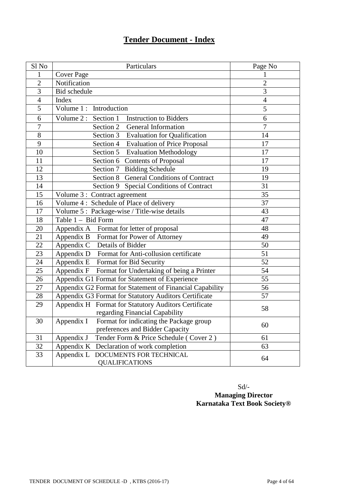# **Tender Document - Index**

| Sl No           | Particulars                                                    | Page No         |
|-----------------|----------------------------------------------------------------|-----------------|
| 1               | <b>Cover Page</b>                                              | 1               |
| $\overline{2}$  | Notification                                                   | $\overline{2}$  |
| $\overline{3}$  | Bid schedule                                                   | $\overline{3}$  |
| $\overline{4}$  | Index                                                          | $\overline{4}$  |
| 5               | Volume 1: Introduction                                         | 5               |
| 6               | Volume 2 : Section 1<br><b>Instruction to Bidders</b>          | $\overline{6}$  |
| $\overline{7}$  | Section 2<br>General Information                               | $\overline{7}$  |
| $\overline{8}$  | Section 3<br><b>Evaluation for Qualification</b>               | 14              |
| $\overline{9}$  | Section 4<br><b>Evaluation of Price Proposal</b>               | 17              |
| 10              | Section 5 Evaluation Methodology                               | 17              |
| 11              | Section 6 Contents of Proposal                                 | 17              |
| 12              | Section 7 Bidding Schedule                                     | 19              |
| $\overline{13}$ | Section 8 General Conditions of Contract                       | 19              |
| 14              | Section 9 Special Conditions of Contract                       | 31              |
| 15              | Volume 3 : Contract agreement                                  | 35              |
| 16              | Volume 4: Schedule of Place of delivery                        | 37              |
| 17              | Volume 5: Package-wise / Title-wise details                    | 43              |
| 18              | Table 1 - Bid Form                                             | 47              |
| 20              | Appendix A Format for letter of proposal                       | 48              |
| $\overline{21}$ | Appendix B Format for Power of Attorney                        | $\overline{49}$ |
| $\overline{22}$ | Details of Bidder<br>Appendix C                                | $\overline{50}$ |
| 23              | Appendix D Format for Anti-collusion certificate               | 51              |
| 24              | Appendix E Format for Bid Security                             | 52              |
| $\overline{25}$ | Appendix F Format for Undertaking of being a Printer           | 54              |
| 26              | Appendix G1 Format for Statement of Experience                 | $\overline{55}$ |
| $\overline{27}$ | Appendix G2 Format for Statement of Financial Capability       | 56              |
| 28              | Appendix G3 Format for Statutory Auditors Certificate          | 57              |
| 29              | Appendix H Format for Statutory Auditors Certificate           | 58              |
|                 | regarding Financial Capability                                 |                 |
| 30              | Appendix I<br>Format for indicating the Package group          | 60              |
|                 | preferences and Bidder Capacity                                |                 |
| 31              | Appendix J<br>Tender Form & Price Schedule (Cover 2)           | 61              |
| 32              | Appendix K Declaration of work completion                      | 63              |
| 33              | Appendix L<br>DOCUMENTS FOR TECHNICAL<br><b>QUALIFICATIONS</b> | 64              |

Sd/- **Managing Director Karnataka Text Book Society®**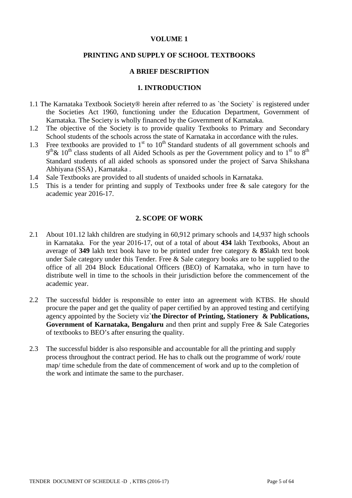# **VOLUME 1**

### **PRINTING AND SUPPLY OF SCHOOL TEXTBOOKS**

# **A BRIEF DESCRIPTION**

### **1. INTRODUCTION**

- 1.1 The Karnataka Textbook Society® herein after referred to as `the Society` is registered under the Societies Act 1960, functioning under the Education Department, Government of Karnataka. The Society is wholly financed by the Government of Karnataka.
- 1.2 The objective of the Society is to provide quality Textbooks to Primary and Secondary School students of the schools across the state of Karnataka in accordance with the rules.
- 1.3 Free textbooks are provided to  $1<sup>st</sup>$  to  $10<sup>th</sup>$  Standard students of all government schools and  $9<sup>th</sup>$ &  $10<sup>th</sup>$  class students of all Aided Schools as per the Government policy and to 1<sup>st</sup> to 8<sup>th</sup> Standard students of all aided schools as sponsored under the project of Sarva Shikshana Abhiyana (SSA) , Karnataka .
- 1.4 Sale Textbooks are provided to all students of unaided schools in Karnataka.
- 1.5 This is a tender for printing and supply of Textbooks under free & sale category for the academic year 2016-17.

# **2. SCOPE OF WORK**

- 2.1 About 101.12 lakh children are studying in 60,912 primary schools and 14,937 high schools in Karnataka. For the year 2016-17, out of a total of about **434** lakh Textbooks, About an average of **349** lakh text book have to be printed under free category & **85**lakh text book under Sale category under this Tender. Free & Sale category books are to be supplied to the office of all 204 Block Educational Officers (BEO) of Karnataka, who in turn have to distribute well in time to the schools in their jurisdiction before the commencement of the academic year.
- 2.2 The successful bidder is responsible to enter into an agreement with KTBS. He should procure the paper and get the quality of paper certified by an approved testing and certifying agency appointed by the Society viz**`the Director of Printing, Stationery & Publications, Government of Karnataka, Bengaluru** and then print and supply Free & Sale Categories of textbooks to BEO's after ensuring the quality.
- 2.3 The successful bidder is also responsible and accountable for all the printing and supply process throughout the contract period. He has to chalk out the programme of work/ route map/ time schedule from the date of commencement of work and up to the completion of the work and intimate the same to the purchaser.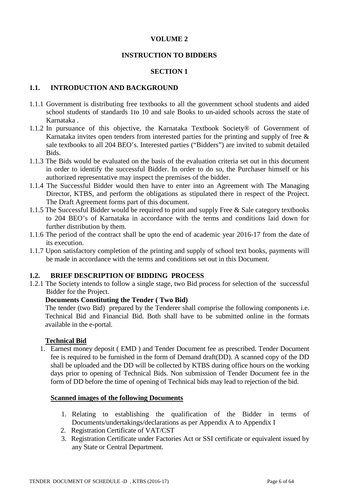# **VOLUME 2**

# **INSTRUCTION TO BIDDERS**

# **SECTION 1**

# **1.1. INTRODUCTION AND BACKGROUND**

- 1.1.1 Government is distributing free textbooks to all the government school students and aided school students of standards 1to 10 and sale Books to un-aided schools across the state of Karnataka .
- 1.1.2 In pursuance of this objective, the Karnataka Textbook Society® of Government of Karnataka invites open tenders from interested parties for the printing and supply of free  $\&$ sale textbooks to all 204 BEO's. Interested parties ("Bidders") are invited to submit detailed Bids.
- 1.1.3 The Bids would be evaluated on the basis of the evaluation criteria set out in this document in order to identify the successful Bidder. In order to do so, the Purchaser himself or his authorized representative may inspect the premises of the bidder.
- 1.1.4 The Successful Bidder would then have to enter into an Agreement with The Managing Director, KTBS, and perform the obligations as stipulated there in respect of the Project. The Draft Agreement forms part of this document.
- 1.1.5 The Successful Bidder would be required to print and supply Free & Sale category textbooks to 204 BEO's of Karnataka in accordance with the terms and conditions laid down for further distribution by them.
- 1.1.6 The period of the contract shall be upto the end of academic year 2016-17 from the date of its execution.
- 1.1.7 Upon satisfactory completion of the printing and supply of school text books, payments will be made in accordance with the terms and conditions set out in this Document.

### **1.2. BRIEF DESCRIPTION OF BIDDING PROCESS**

1.2.1 The Society intends to follow a single stage, two Bid process for selection of the successful Bidder for the Project.

#### **Documents Constituting the Tender ( Two Bid)**

The tender (two Bid) prepared by the Tenderer shall comprise the following components i.e. Technical Bid and Financial Bid. Both shall have to be submitted online in the formats available in the e-portal.

#### **Technical Bid**

1. Earnest money deposit ( EMD ) and Tender Document fee as prescribed. Tender Document fee is required to be furnished in the form of Demand draft(DD). A scanned copy of the DD shall be uploaded and the DD will be collected by KTBS during office hours on the working days prior to opening of Technical Bids. Non submission of Tender Document fee in the form of DD before the time of opening of Technical bids may lead to rejection of the bid.

### **Scanned images of the following Documents**

- 1. Relating to establishing the qualification of the Bidder in terms of Documents/undertakings/declarations as per Appendix A to Appendix I
- 2. Registration Certificate of VAT/CST
- 3. Registration Certificate under Factories Act or SSI certificate or equivalent issued by any State or Central Department.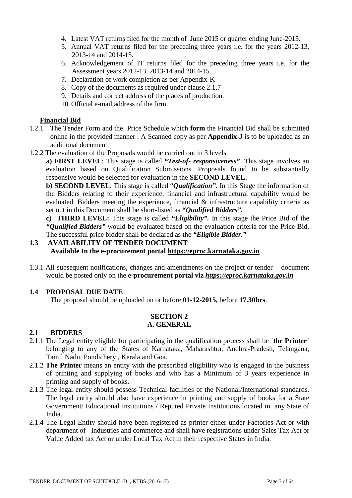- 4. Latest VAT returns filed for the month of June 2015 or quarter ending June-2015.
- 5. Annual VAT returns filed for the preceding three years i.e. for the years 2012-13, 2013-14 and 2014-15.
- 6. Acknowledgement of IT returns filed for the preceding three years i.e. for the Assessment years 2012-13, 2013-14 and 2014-15.
- 7. Declaration of work completion as per Appendix-K
- 8. Copy of the documents as required under clause 2.1.7
- 9. Details and correct address of the places of production.
- 10. Official e-mail address of the firm.

### **Financial Bid**

- 1.2.1 The Tender Form and the Price Schedule which **form** the Financial Bid shall be submitted online in the provided manner . A Scanned copy as per **Appendix-J** is to be uploaded as an additional document.
- 1.2.2 The evaluation of the Proposals would be carried out in 3 levels.

**a) FIRST LEVEL**: This stage is called *"Test-of- responsiveness"*. This stage involves an evaluation based on Qualification Submissions. Proposals found to be substantially responsive would be selected for evaluation in the **SECOND LEVEL.**

**b) SECOND LEVEL**: This stage is called "*Qualification".* In this Stage the information of the Bidders relating to their experience, financial and infrastructural capability would be evaluated. Bidders meeting the experience, financial & infrastructure capability criteria as set out in this Document shall be short-listed as *"Qualified Bidders".*

**c) THIRD LEVEL:** This stage is called *"Eligibility".* In this stage the Price Bid of the *"Qualified Bidders"* would be evaluated based on the evaluation criteria for the Price Bid. The successful price bidder shall be declared as the *"Eligible Bidder."*

# **1.3 AVAILABILITY OF TENDER DOCUMENT Available In the e-procurement portal [https://eproc.karnataka.gov.in](https://eproc.karnataka.gov.in/)**

1.3.1 All subsequent notifications, changes and amendments on the project or tender document would be posted only on the **e-procurement portal viz** *[https://eproc.karnataka.gov.in](https://eproc.karnataka.gov.in/)*

# **1.4 PROPOSAL DUE DATE**

The proposal should be uploaded on or before **01-12-2015,** before **17.30hrs**.

#### **SECTION 2 A. GENERAL**

# **2.1 BIDDERS**

- 2.1.1 The Legal entity eligible for participating in the qualification process shall be `**the Printer**` belonging to any of the States of Karnataka, Maharashtra, Andhra-Pradesh, Telangana, Tamil Nadu, Pondichery , Kerala and Goa.
- 2.1.2 **The Printer** means an entity with the prescribed eligibility who is engaged in the business of printing and supplying of books and who has a Minimum of 3 years experience in printing and supply of books.
- 2.1.3 The legal entity should possess Technical facilities of the National/International standards. The legal entity should also have experience in printing and supply of books for a State Government/ Educational Institutions / Reputed Private Institutions located in any State of India.
- 2.1.4 The Legal Entity should have been registered as printer either under Factories Act or with department of Industries and commerce and shall have registrations under Sales Tax Act or Value Added tax Act or under Local Tax Act in their respective States in India.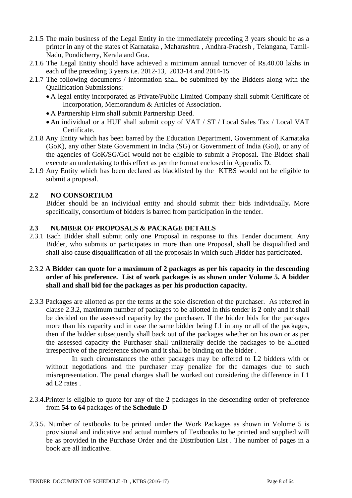- 2.1.5 The main business of the Legal Entity in the immediately preceding 3 years should be as a printer in any of the states of Karnataka , Maharashtra , Andhra-Pradesh , Telangana, Tamil-Nadu, Pondicherry, Kerala and Goa.
- 2.1.6 The Legal Entity should have achieved a minimum annual turnover of Rs.40.00 lakhs in each of the preceding 3 years i.e. 2012-13, 2013-14 and 2014-15
- 2.1.7 The following documents / information shall be submitted by the Bidders along with the Qualification Submissions:
	- A legal entity incorporated as Private/Public Limited Company shall submit Certificate of Incorporation, Memorandum & Articles of Association.
	- A Partnership Firm shall submit Partnership Deed.
	- An individual or a HUF shall submit copy of VAT / ST / Local Sales Tax / Local VAT Certificate.
- 2.1.8 Any Entity which has been barred by the Education Department, Government of Karnataka (GoK), any other State Government in India (SG) or Government of India (GoI), or any of the agencies of GoK/SG/GoI would not be eligible to submit a Proposal. The Bidder shall execute an undertaking to this effect as per the format enclosed in Appendix D.
- 2.1.9 Any Entity which has been declared as blacklisted by the KTBS would not be eligible to submit a proposal.

# **2.2 NO CONSORTIUM**

Bidder should be an individual entity and should submit their bids individually*.* More specifically, consortium of bidders is barred from participation in the tender.

# **2.3 NUMBER OF PROPOSALS & PACKAGE DETAILS**

2.3.1 Each Bidder shall submit only one Proposal in response to this Tender document. Any Bidder, who submits or participates in more than one Proposal, shall be disqualified and shall also cause disqualification of all the proposals in which such Bidder has participated.

# 2.3.2 **A Bidder can quote for a maximum of 2 packages as per his capacity in the descending order of his preference. List of work packages is as shown under Volume 5. A bidder shall and shall bid for the packages as per his production capacity.**

2.3.3 Packages are allotted as per the terms at the sole discretion of the purchaser. As referred in clause 2.3.2, maximum number of packages to be allotted in this tender is **2** only and it shall be decided on the assessed capacity by the purchaser. If the bidder bids for the packages more than his capacity and in case the same bidder being L1 in any or all of the packages, then if the bidder subsequently shall back out of the packages whether on his own or as per the assessed capacity the Purchaser shall unilaterally decide the packages to be allotted irrespective of the preference shown and it shall be binding on the bidder .

In such circumstances the other packages may be offered to L2 bidders with or without negotiations and the purchaser may penalize for the damages due to such misrepresentation. The penal charges shall be worked out considering the difference in L1 ad L2 rates .

- 2.3.4.Printer is eligible to quote for any of the **2** packages in the descending order of preference from **54 to 64** packages of the **Schedule-D**
- 2.3.5. Number of textbooks to be printed under the Work Packages as shown in Volume 5 is provisional and indicative and actual numbers of Textbooks to be printed and supplied will be as provided in the Purchase Order and the Distribution List . The number of pages in a book are all indicative.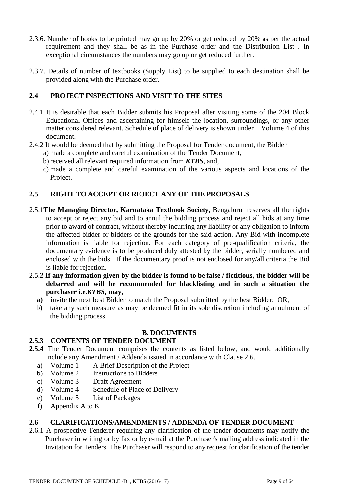- 2.3.6. Number of books to be printed may go up by 20% or get reduced by 20% as per the actual requirement and they shall be as in the Purchase order and the Distribution List . In exceptional circumstances the numbers may go up or get reduced further.
- 2.3.7. Details of number of textbooks (Supply List) to be supplied to each destination shall be provided along with the Purchase order.

# **2.4 PROJECT INSPECTIONS AND VISIT TO THE SITES**

- 2.4.1 It is desirable that each Bidder submits his Proposal after visiting some of the 204 Block Educational Offices and ascertaining for himself the location, surroundings, or any other matter considered relevant. Schedule of place of delivery is shown under Volume 4 of this document.
- 2.4.2 It would be deemed that by submitting the Proposal for Tender document, the Bidder
	- a) made a complete and careful examination of the Tender Document,
	- b) received all relevant required information from *KTBS*, and,
	- c) made a complete and careful examination of the various aspects and locations of the Project.

# **2.5 RIGHT TO ACCEPT OR REJECT ANY OF THE PROPOSALS**

- 2.5.1**The Managing Director, Karnataka Textbook Society,** Bengaluru reserves all the rights to accept or reject any bid and to annul the bidding process and reject all bids at any time prior to award of contract, without thereby incurring any liability or any obligation to inform the affected bidder or bidders of the grounds for the said action. Any Bid with incomplete information is liable for rejection. For each category of pre-qualification criteria, the documentary evidence is to be produced duly attested by the bidder, serially numbered and enclosed with the bids. If the documentary proof is not enclosed for any/all criteria the Bid is liable for rejection.
- 2.5.**2 If any information given by the bidder is found to be false / fictitious, the bidder will be debarred and will be recommended for blacklisting and in such a situation the purchaser i.e.***KTBS,* **may,**
	- **a)** invite the next best Bidder to match the Proposal submitted by the best Bidder; OR,
	- b) take any such measure as may be deemed fit in its sole discretion including annulment of the bidding process.

#### **B. DOCUMENTS**

#### **2.5.3 CONTENTS OF TENDER DOCUMENT**

- **2.5.4** The Tender Document comprises the contents as listed below, and would additionally include any Amendment / Addenda issued in accordance with Clause 2.6.
	- a) Volume 1 A Brief Description of the Project
	- b) Volume 2 Instructions to Bidders
	- c) Volume 3 Draft Agreement
	- d) Volume 4 Schedule of Place of Delivery
	- e) Volume 5 List of Packages
	- f) Appendix A to K

#### **2.6 CLARIFICATIONS/AMENDMENTS / ADDENDA OF TENDER DOCUMENT**

2.6.1 A prospective Tenderer requiring any clarification of the tender documents may notify the Purchaser in writing or by fax or by e-mail at the Purchaser's mailing address indicated in the Invitation for Tenders. The Purchaser will respond to any request for clarification of the tender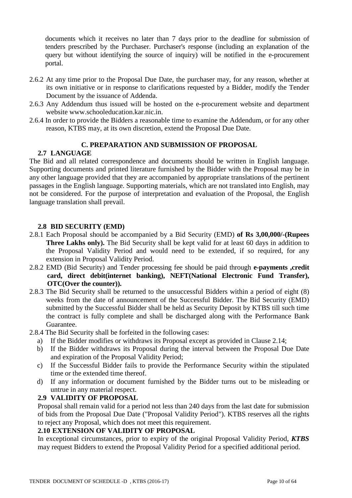documents which it receives no later than 7 days prior to the deadline for submission of tenders prescribed by the Purchaser. Purchaser's response (including an explanation of the query but without identifying the source of inquiry) will be notified in the e-procurement portal.

- 2.6.2 At any time prior to the Proposal Due Date, the purchaser may, for any reason, whether at its own initiative or in response to clarifications requested by a Bidder, modify the Tender Document by the issuance of Addenda.
- 2.6.3 Any Addendum thus issued will be hosted on the e-procurement website and department website www.schooleducation.kar.nic.in.
- 2.6.4 In order to provide the Bidders a reasonable time to examine the Addendum, or for any other reason, KTBS may, at its own discretion, extend the Proposal Due Date.

#### **C. PREPARATION AND SUBMISSION OF PROPOSAL**

#### **2.7 LANGUAGE**

The Bid and all related correspondence and documents should be written in English language. Supporting documents and printed literature furnished by the Bidder with the Proposal may be in any other language provided that they are accompanied by appropriate translations of the pertinent passages in the English language. Supporting materials, which are not translated into English, may not be considered. For the purpose of interpretation and evaluation of the Proposal, the English language translation shall prevail.

#### **2.8 BID SECURITY (EMD)**

- 2.8.1 Each Proposal should be accompanied by a Bid Security (EMD) **of Rs 3,00,000/-(Rupees Three Lakhs only).** The Bid Security shall be kept valid for at least 60 days in addition to the Proposal Validity Period and would need to be extended, if so required, for any extension in Proposal Validity Period.
- 2.8.2 EMD (Bid Security) and Tender processing fee should be paid through **e-payments ,credit card, direct debit(internet banking), NEFT(National Electronic Fund Transfer), OTC(Over the counter)).**
- 2.8.3 The Bid Security shall be returned to the unsuccessful Bidders within a period of eight (8) weeks from the date of announcement of the Successful Bidder. The Bid Security (EMD) submitted by the Successful Bidder shall be held as Security Deposit by KTBS till such time the contract is fully complete and shall be discharged along with the Performance Bank Guarantee.
- 2.8.4 The Bid Security shall be forfeited in the following cases:
	- a) If the Bidder modifies or withdraws its Proposal except as provided in Clause 2.14;
	- b) If the Bidder withdraws its Proposal during the interval between the Proposal Due Date and expiration of the Proposal Validity Period;
	- c) If the Successful Bidder fails to provide the Performance Security within the stipulated time or the extended time thereof.
	- d) If any information or document furnished by the Bidder turns out to be misleading or untrue in any material respect.

#### **2.9 VALIDITY OF PROPOSAL**

Proposal shall remain valid for a period not less than 240 days from the last date for submission of bids from the Proposal Due Date ("Proposal Validity Period"). KTBS reserves all the rights to reject any Proposal, which does not meet this requirement.

#### **2.10 EXTENSION OF VALIDITY OF PROPOSAL**

In exceptional circumstances, prior to expiry of the original Proposal Validity Period, *KTBS* may request Bidders to extend the Proposal Validity Period for a specified additional period.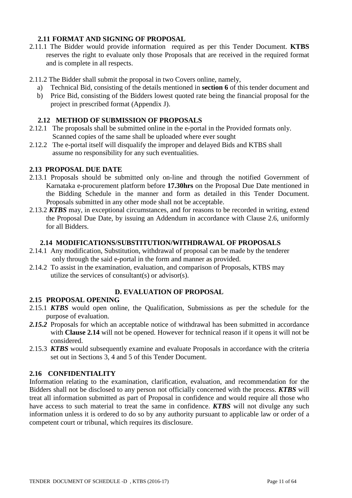# **2.11 FORMAT AND SIGNING OF PROPOSAL**

- 2.11.1 The Bidder would provide information required as per this Tender Document. **KTBS**  reserves the right to evaluate only those Proposals that are received in the required format and is complete in all respects.
- 2.11.2 The Bidder shall submit the proposal in two Covers online, namely,
	- a) Technical Bid, consisting of the details mentioned in **section 6** of this tender document and
	- b) Price Bid, consisting of the Bidders lowest quoted rate being the financial proposal for the project in prescribed format (Appendix J).

# **2.12 METHOD OF SUBMISSION OF PROPOSALS**

- 2.12.1 The proposals shall be submitted online in the e-portal in the Provided formats only. Scanned copies of the same shall be uploaded where ever sought
- 2.12.2 The e-portal itself will disqualify the improper and delayed Bids and KTBS shall assume no responsibility for any such eventualities.

# **2.13 PROPOSAL DUE DATE**

- 2.13.1 Proposals should be submitted only on-line and through the notified Government of Karnataka e-procurement platform before **17.30hrs** on the Proposal Due Date mentioned in the Bidding Schedule in the manner and form as detailed in this Tender Document. Proposals submitted in any other mode shall not be acceptable.
- 2.13.2 *KTBS* may, in exceptional circumstances, and for reasons to be recorded in writing, extend the Proposal Due Date, by issuing an Addendum in accordance with Clause 2.6, uniformly for all Bidders.

#### **2.14 MODIFICATIONS/SUBSTITUTION/WITHDRAWAL OF PROPOSALS**

- 2.14.1 Any modification, Substitution, withdrawal of proposal can be made by the tenderer only through the said e-portal in the form and manner as provided.
- 2.14.2 To assist in the examination, evaluation, and comparison of Proposals, KTBS may utilize the services of consultant(s) or advisor(s).

# **D. EVALUATION OF PROPOSAL**

#### **2.15 PROPOSAL OPENING**

- 2.15.1 *KTBS* would open online, the Qualification, Submissions as per the schedule for the purpose of evaluation.
- *2.15.2* Proposals for which an acceptable notice of withdrawal has been submitted in accordance with **Clause 2.14** will not be opened. However for technical reason if it opens it will not be considered.
- 2.15.3 *KTBS* would subsequently examine and evaluate Proposals in accordance with the criteria set out in Sections 3, 4 and 5 of this Tender Document.

### **2.16 CONFIDENTIALITY**

Information relating to the examination, clarification, evaluation, and recommendation for the Bidders shall not be disclosed to any person not officially concerned with the process. *KTBS* will treat all information submitted as part of Proposal in confidence and would require all those who have access to such material to treat the same in confidence. *KTBS* will not divulge any such information unless it is ordered to do so by any authority pursuant to applicable law or order of a competent court or tribunal, which requires its disclosure.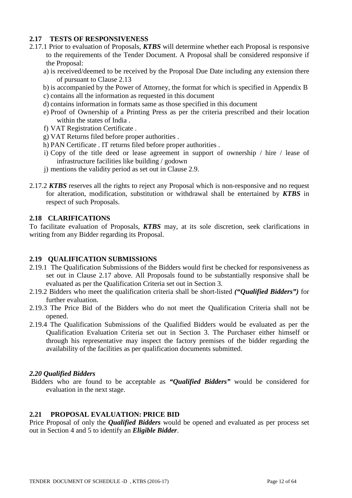# **2.17 TESTS OF RESPONSIVENESS**

- 2.17.1 Prior to evaluation of Proposals, *KTBS* will determine whether each Proposal is responsive to the requirements of the Tender Document. A Proposal shall be considered responsive if the Proposal:
	- a) is received/deemed to be received by the Proposal Due Date including any extension there of pursuant to Clause 2.13
	- b) is accompanied by the Power of Attorney, the format for which is specified in Appendix B
	- c) contains all the information as requested in this document
	- d) contains information in formats same as those specified in this document
	- e) Proof of Ownership of a Printing Press as per the criteria prescribed and their location within the states of India .
	- f) VAT Registration Certificate .
	- g) VAT Returns filed before proper authorities .
	- h) PAN Certificate . IT returns filed before proper authorities .
	- i) Copy of the title deed or lease agreement in support of ownership / hire / lease of infrastructure facilities like building / godown
	- j) mentions the validity period as set out in Clause 2.9.
- 2.17.2 *KTBS* reserves all the rights to reject any Proposal which is non-responsive and no request for alteration, modification, substitution or withdrawal shall be entertained by *KTBS* in respect of such Proposals.

# **2.18 CLARIFICATIONS**

To facilitate evaluation of Proposals, *KTBS* may, at its sole discretion, seek clarifications in writing from any Bidder regarding its Proposal.

# **2.19 QUALIFICATION SUBMISSIONS**

- 2.19.1 The Qualification Submissions of the Bidders would first be checked for responsiveness as set out in Clause 2.17 above. All Proposals found to be substantially responsive shall be evaluated as per the Qualification Criteria set out in Section 3.
- 2.19.2 Bidders who meet the qualification criteria shall be short-listed *("Qualified Bidders")* for further evaluation.
- 2.19.3 The Price Bid of the Bidders who do not meet the Qualification Criteria shall not be opened.
- 2.19.4 The Qualification Submissions of the Qualified Bidders would be evaluated as per the Qualification Evaluation Criteria set out in Section 3. The Purchaser either himself or through his representative may inspect the factory premises of the bidder regarding the availability of the facilities as per qualification documents submitted.

#### *2.20 Qualified Bidders*

Bidders who are found to be acceptable as *"Qualified Bidders"* would be considered for evaluation in the next stage.

# **2.21 PROPOSAL EVALUATION: PRICE BID**

Price Proposal of only the *Qualified Bidders* would be opened and evaluated as per process set out in Section 4 and 5 to identify an *Eligible Bidder*.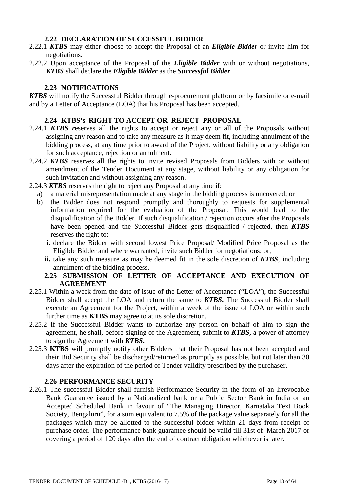# **2.22 DECLARATION OF SUCCESSFUL BIDDER**

- 2.22.1 *KTBS* may either choose to accept the Proposal of an *Eligible Bidder* or invite him for negotiations.
- 2.22.2 Upon acceptance of the Proposal of the *Eligible Bidder* with or without negotiations, *KTBS* shall declare the *Eligible Bidder* as the *Successful Bidder*.

# **2.23 NOTIFICATIONS**

*KTBS* will notify the Successful Bidder through e-procurement platform or by facsimile or e-mail and by a Letter of Acceptance (LOA) that his Proposal has been accepted.

# **2.24 KTBS's RIGHT TO ACCEPT OR REJECT PROPOSAL**

- 2.24.1 *KTBS r*eserves all the rights to accept or reject any or all of the Proposals without assigning any reason and to take any measure as it may deem fit, including annulment of the bidding process, at any time prior to award of the Project, without liability or any obligation for such acceptance, rejection or annulment.
- 2.24.2 *KTBS* reserves all the rights to invite revised Proposals from Bidders with or without amendment of the Tender Document at any stage, without liability or any obligation for such invitation and without assigning any reason.
- 2.24.3 *KTBS* reserves the right to reject any Proposal at any time if:
	- a) a material misrepresentation made at any stage in the bidding process is uncovered; or
	- b) the Bidder does not respond promptly and thoroughly to requests for supplemental information required for the evaluation of the Proposal. This would lead to the disqualification of the Bidder. If such disqualification / rejection occurs after the Proposals have been opened and the Successful Bidder gets disqualified / rejected, then *KTBS* reserves the right to:
		- **i.** declare the Bidder with second lowest Price Proposal/ Modified Price Proposal as the Eligible Bidder and where warranted, invite such Bidder for negotiations; or,
		- **ii.** take any such measure as may be deemed fit in the sole discretion of *KTBS*, including annulment of the bidding process.

### **2.25 SUBMISSION OF LETTER OF ACCEPTANCE AND EXECUTION OF AGREEMENT**

- 2.25.1 Within a week from the date of issue of the Letter of Acceptance ("LOA"), the Successful Bidder shall accept the LOA and return the same to *KTBS***.** The Successful Bidder shall execute an Agreement for the Project, within a week of the issue of LOA or within such further time as **KTBS** may agree to at its sole discretion.
- 2.25.2 If the Successful Bidder wants to authorize any person on behalf of him to sign the agreement, he shall, before signing of the Agreement, submit to *KTBS***,** a power of attorney to sign the Agreement with *KTBS***.**
- 2.25.3 **KTBS** will promptly notify other Bidders that their Proposal has not been accepted and their Bid Security shall be discharged/returned as promptly as possible, but not later than 30 days after the expiration of the period of Tender validity prescribed by the purchaser.

#### **2.26 PERFORMANCE SECURITY**

2.26.1 The successful Bidder shall furnish Performance Security in the form of an Irrevocable Bank Guarantee issued by a Nationalized bank or a Public Sector Bank in India or an Accepted Scheduled Bank in favour of "The Managing Director, Karnataka Text Book Society, Bengaluru", for a sum equivalent to 7.5% of the package value separately for all the packages which may be allotted to the successful bidder within 21 days from receipt of purchase order. The performance bank guarantee should be valid till 31st of March 2017 or covering a period of 120 days after the end of contract obligation whichever is later.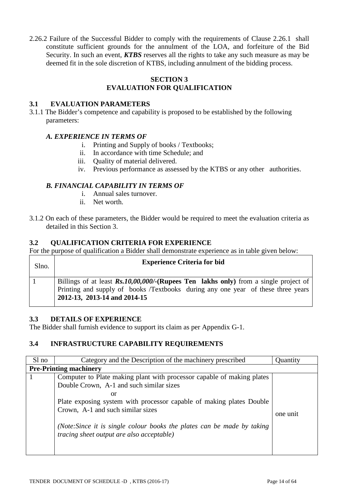2.26.2 Failure of the Successful Bidder to comply with the requirements of Clause 2.26.1 shall constitute sufficient grounds for the annulment of the LOA, and forfeiture of the Bid Security. In such an event, *KTBS* reserves all the rights to take any such measure as may be deemed fit in the sole discretion of KTBS, including annulment of the bidding process.

#### **SECTION 3 EVALUATION FOR QUALIFICATION**

### **3.1 EVALUATION PARAMETERS**

3.1.1 The Bidder's competence and capability is proposed to be established by the following parameters:

# *A. EXPERIENCE IN TERMS OF*

- i. Printing and Supply of books / Textbooks;
- ii. In accordance with time Schedule; and
- iii. Quality of material delivered.
- iv. Previous performance as assessed by the KTBS or any other authorities.

# *B. FINANCIAL CAPABILITY IN TERMS OF*

- i. Annual sales turnover.
- ii. Net worth.
- 3.1.2 On each of these parameters, the Bidder would be required to meet the evaluation criteria as detailed in this Section 3.

#### **3.2 QUALIFICATION CRITERIA FOR EXPERIENCE**

For the purpose of qualification a Bidder shall demonstrate experience as in table given below:

| Slno. | <b>Experience Criteria for bid</b>                                                                                                                                                                                  |  |  |  |  |
|-------|---------------------------------------------------------------------------------------------------------------------------------------------------------------------------------------------------------------------|--|--|--|--|
|       | Billings of at least $\mathbb{R}s.10,00,000/$ -(Rupees Ten lakhs only) from a single project of<br>Printing and supply of books /Textbooks during any one year of these three years<br>2012-13, 2013-14 and 2014-15 |  |  |  |  |

#### **3.3 DETAILS OF EXPERIENCE**

The Bidder shall furnish evidence to support its claim as per Appendix G-1.

# **3.4 INFRASTRUCTURE CAPABILITY REQUIREMENTS**

| Sl no                         |                                                                                                                             |          |  |  |
|-------------------------------|-----------------------------------------------------------------------------------------------------------------------------|----------|--|--|
|                               | Category and the Description of the machinery prescribed                                                                    | Quantity |  |  |
| <b>Pre-Printing machinery</b> |                                                                                                                             |          |  |  |
|                               | Computer to Plate making plant with processor capable of making plates                                                      |          |  |  |
|                               | Double Crown, A-1 and such similar sizes                                                                                    |          |  |  |
|                               | or                                                                                                                          |          |  |  |
|                               | Plate exposing system with processor capable of making plates Double                                                        |          |  |  |
|                               | Crown, A-1 and such similar sizes                                                                                           | one unit |  |  |
|                               | (Note: Since it is single colour books the plates can be made by taking<br><i>tracing sheet output are also acceptable)</i> |          |  |  |
|                               |                                                                                                                             |          |  |  |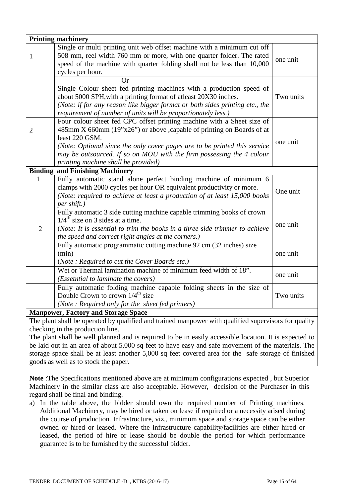|                                                                                                      | <b>Printing machinery</b>                                                    |           |  |  |
|------------------------------------------------------------------------------------------------------|------------------------------------------------------------------------------|-----------|--|--|
|                                                                                                      | Single or multi printing unit web offset machine with a minimum cut off      |           |  |  |
| 1                                                                                                    | 508 mm, reel width 760 mm or more, with one quarter folder. The rated        | one unit  |  |  |
|                                                                                                      | speed of the machine with quarter folding shall not be less than 10,000      |           |  |  |
|                                                                                                      | cycles per hour.                                                             |           |  |  |
|                                                                                                      | <b>Or</b>                                                                    |           |  |  |
|                                                                                                      | Single Colour sheet fed printing machines with a production speed of         |           |  |  |
|                                                                                                      | about 5000 SPH, with a printing format of atleast 20X30 inches.              | Two units |  |  |
|                                                                                                      | (Note: if for any reason like bigger format or both sides printing etc., the |           |  |  |
|                                                                                                      | requirement of number of units will be proportionately less.)                |           |  |  |
|                                                                                                      | Four colour sheet fed CPC offset printing machine with a Sheet size of       |           |  |  |
| $\overline{2}$                                                                                       | 485mm X 660mm (19"x26") or above , capable of printing on Boards of at       |           |  |  |
|                                                                                                      | least 220 GSM.                                                               | one unit  |  |  |
|                                                                                                      | (Note: Optional since the only cover pages are to be printed this service    |           |  |  |
|                                                                                                      | may be outsourced. If so on MOU with the firm possessing the 4 colour        |           |  |  |
|                                                                                                      | printing machine shall be provided)                                          |           |  |  |
|                                                                                                      | <b>Binding and Finishing Machinery</b>                                       |           |  |  |
| 1                                                                                                    | Fully automatic stand alone perfect binding machine of minimum 6             |           |  |  |
|                                                                                                      | clamps with 2000 cycles per hour OR equivalent productivity or more.         | One unit  |  |  |
|                                                                                                      | (Note: required to achieve at least a production of at least 15,000 books    |           |  |  |
|                                                                                                      | per shift.)                                                                  |           |  |  |
|                                                                                                      | Fully automatic 3 side cutting machine capable trimming books of crown       |           |  |  |
|                                                                                                      | $1/4^{\text{th}}$ size on 3 sides at a time.                                 | one unit  |  |  |
| $\overline{2}$                                                                                       | (Note: It is essential to trim the books in a three side trimmer to achieve  |           |  |  |
|                                                                                                      | the speed and correct right angles at the corners.)                          |           |  |  |
|                                                                                                      | Fully automatic programmatic cutting machine 92 cm (32 inches) size          |           |  |  |
|                                                                                                      | (min)                                                                        | one unit  |  |  |
|                                                                                                      | (Note: Required to cut the Cover Boards etc.)                                |           |  |  |
|                                                                                                      | Wet or Thermal lamination machine of minimum feed width of 18".              | one unit  |  |  |
|                                                                                                      | (Essetntial to laminate the covers)                                          |           |  |  |
|                                                                                                      | Fully automatic folding machine capable folding sheets in the size of        |           |  |  |
|                                                                                                      | Double Crown to crown $1/4^{\text{th}}$ size                                 | Two units |  |  |
|                                                                                                      | (Note: Required only for the sheet fed printers)                             |           |  |  |
|                                                                                                      | <b>Manpower, Factory and Storage Space</b>                                   |           |  |  |
| The plant shall be operated by qualified and trained manpower with qualified supervisors for quality |                                                                              |           |  |  |

checking in the production line.

The plant shall be well planned and is required to be in easily accessible location. It is expected to be laid out in an area of about 5,000 sq feet to have easy and safe movement of the materials. The storage space shall be at least another 5,000 sq feet covered area for the safe storage of finished goods as well as to stock the paper.

**Note** :The Specifications mentioned above are at minimum configurations expected , but Superior Machinery in the similar class are also acceptable. However, decision of the Purchaser in this regard shall be final and binding.

a) In the table above, the bidder should own the required number of Printing machines. Additional Machinery, may be hired or taken on lease if required or a necessity arised during the course of production. Infrastructure, viz., minimum space and storage space can be either owned or hired or leased. Where the infrastructure capability/facilities are either hired or leased, the period of hire or lease should be double the period for which performance guarantee is to be furnished by the successful bidder.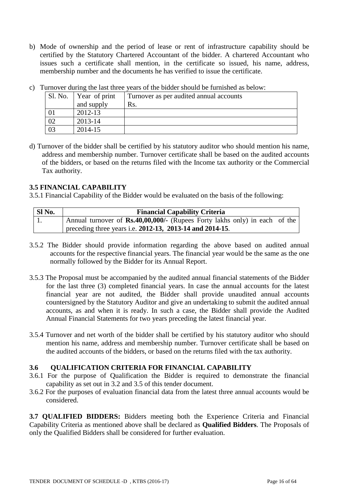b) Mode of ownership and the period of lease or rent of infrastructure capability should be certified by the Statutory Chartered Accountant of the bidder. A chartered Accountant who issues such a certificate shall mention, in the certificate so issued, his name, address, membership number and the documents he has verified to issue the certificate.

| Sl. No. | Year of print | Turnover as per audited annual accounts |
|---------|---------------|-----------------------------------------|
|         | and supply    | Rs.                                     |
|         | 2012-13       |                                         |
| 02      | 2013-14       |                                         |
| 03      | 2014-15       |                                         |

c) Turnover during the last three years of the bidder should be furnished as below:

d) Turnover of the bidder shall be certified by his statutory auditor who should mention his name, address and membership number. Turnover certificate shall be based on the audited accounts of the bidders, or based on the returns filed with the Income tax authority or the Commercial Tax authority.

# **3.5 FINANCIAL CAPABILITY**

3.5.1 Financial Capability of the Bidder would be evaluated on the basis of the following:

| Sl No. | <b>Financial Capability Criteria</b>                                              |  |  |  |  |  |
|--------|-----------------------------------------------------------------------------------|--|--|--|--|--|
|        | Annual turnover of <b>Rs.40,00,000/-</b> (Rupees Forty lakhs only) in each of the |  |  |  |  |  |
|        | preceding three years i.e. $2012-13$ , $2013-14$ and $2014-15$ .                  |  |  |  |  |  |

- 3.5.2 The Bidder should provide information regarding the above based on audited annual accounts for the respective financial years. The financial year would be the same as the one normally followed by the Bidder for its Annual Report.
- 3.5.3 The Proposal must be accompanied by the audited annual financial statements of the Bidder for the last three (3) completed financial years. In case the annual accounts for the latest financial year are not audited, the Bidder shall provide unaudited annual accounts countersigned by the Statutory Auditor and give an undertaking to submit the audited annual accounts, as and when it is ready. In such a case, the Bidder shall provide the Audited Annual Financial Statements for two years preceding the latest financial year.
- 3.5.4 Turnover and net worth of the bidder shall be certified by his statutory auditor who should mention his name, address and membership number. Turnover certificate shall be based on the audited accounts of the bidders, or based on the returns filed with the tax authority.

### **3.6 QUALIFICATION CRITERIA FOR FINANCIAL CAPABILITY**

- 3.6.1 For the purpose of Qualification the Bidder is required to demonstrate the financial capability as set out in 3.2 and 3.5 of this tender document.
- 3.6.2 For the purposes of evaluation financial data from the latest three annual accounts would be considered.

**3.7 QUALIFIED BIDDERS:** Bidders meeting both the Experience Criteria and Financial Capability Criteria as mentioned above shall be declared as **Qualified Bidders**. The Proposals of only the Qualified Bidders shall be considered for further evaluation.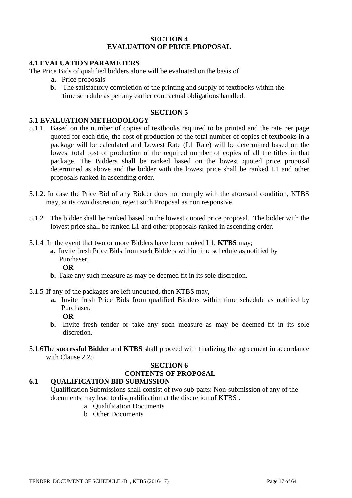#### **SECTION 4 EVALUATION OF PRICE PROPOSAL**

### **4.1 EVALUATION PARAMETERS**

The Price Bids of qualified bidders alone will be evaluated on the basis of

- **a.** Price proposals
- **b.** The satisfactory completion of the printing and supply of textbooks within the time schedule as per any earlier contractual obligations handled.

#### **SECTION 5**

# **5.1 EVALUATION METHODOLOGY**

- 5.1.1 Based on the number of copies of textbooks required to be printed and the rate per page quoted for each title, the cost of production of the total number of copies of textbooks in a package will be calculated and Lowest Rate (L1 Rate) will be determined based on the lowest total cost of production of the required number of copies of all the titles in that package. The Bidders shall be ranked based on the lowest quoted price proposal determined as above and the bidder with the lowest price shall be ranked L1 and other proposals ranked in ascending order.
- 5.1.2. In case the Price Bid of any Bidder does not comply with the aforesaid condition, KTBS may, at its own discretion, reject such Proposal as non responsive.
- 5.1.2 The bidder shall be ranked based on the lowest quoted price proposal. The bidder with the lowest price shall be ranked L1 and other proposals ranked in ascending order.
- 5.1.4 In the event that two or more Bidders have been ranked L1, **KTBS** may;
	- **a.** Invite fresh Price Bids from such Bidders within time schedule as notified by Purchaser,
		- **OR**
	- **b.** Take any such measure as may be deemed fit in its sole discretion.
- 5.1.5 If any of the packages are left unquoted, then KTBS may,
	- **a.** Invite fresh Price Bids from qualified Bidders within time schedule as notified by Purchaser,
		- **OR**
	- **b.** Invite fresh tender or take any such measure as may be deemed fit in its sole discretion.
- 5.1.6The **successful Bidder** and **KTBS** shall proceed with finalizing the agreement in accordance with Clause 2.25

# **SECTION 6 CONTENTS OF PROPOSAL**

#### **6.1 QUALIFICATION BID SUBMISSION**

Qualification Submissions shall consist of two sub-parts: Non-submission of any of the documents may lead to disqualification at the discretion of KTBS .

- a. Qualification Documents
- b. Other Documents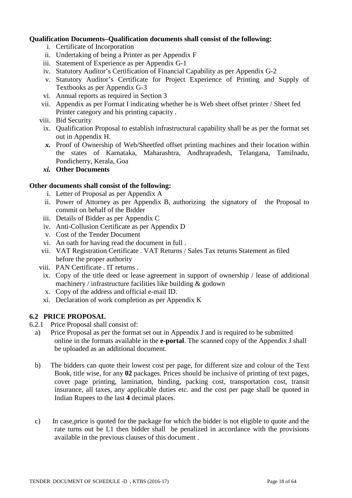# **Qualification Documents***–***Qualification documents shall consist of the following:**

- i. Certificate of Incorporation
- ii. Undertaking of being a Printer as per Appendix F
- iii. Statement of Experience as per Appendix G-1
- iv. Statutory Auditor's Certification of Financial Capability as per Appendix G-2
- v. Statutory Auditor's Certificate for Project Experience of Printing and Supply of Textbooks as per Appendix G-3
- vi. Annual reports as required in Section 3
- vii. Appendix as per Format I indicating whether he is Web sheet offset printer / Sheet fed Printer category and his printing capacity .
- viii. Bid Security
- ix. Qualification Proposal to establish infrastructural capability shall be as per the format set out in Appendix H.
- *x.* Proof of Ownership of Web/Sheetfed offset printing machines and their location within the states of Karnataka, Maharashtra, Andhrapradesh, Telangana, Tamilnadu, Pondicherry, Kerala, Goa
- *xi.* **Other Documents**

#### **Other documents shall consist of the following:**

- i. Letter of Proposal as per Appendix A
- ii. Power of Attorney as per Appendix B, authorizing the signatory of the Proposal to commit on behalf of the Bidder
- iii. Details of Bidder as per Appendix C
- iv. Anti-Collusion Certificate as per Appendix D
- v. Cost of the Tender Document
- vi. An oath for having read the document in full .
- vii. VAT Registration Certificate . VAT Returns / Sales Tax returns Statement as filed before the proper authority
- viii. PAN Certificate . IT returns .
- ix. Copy of the title deed or lease agreement in support of ownership / lease of additional machinery / infrastructure facilities like building & godown
- x. Copy of the address and official e-mail ID.
- xi. Declaration of work completion as per Appendix K

# **6.2 PRICE PROPOSAL**

- 6.2.1 Price Proposal shall consist of:
	- a) Price Proposal as per the format set out in Appendix J and is required to be submitted online in the formats available in the **e-portal**. The scanned copy of the Appendix J shall be uploaded as an additional document.
	- b) The bidders can quote their lowest cost per page, for different size and colour of the Text Book, title wise, for any **02** packages. Prices should be inclusive of printing of text pages, cover page printing, lamination, binding, packing cost, transportation cost, transit insurance, all taxes, any applicable duties etc. and the cost per page shall be quoted in Indian Rupees to the last **4** decimal places.
	- c) In case,price is quoted for the package for which the bidder is not eligible to quote and the rate turns out be L1 then bidder shall be penalized in accordance with the provisions available in the previous clauses of this document .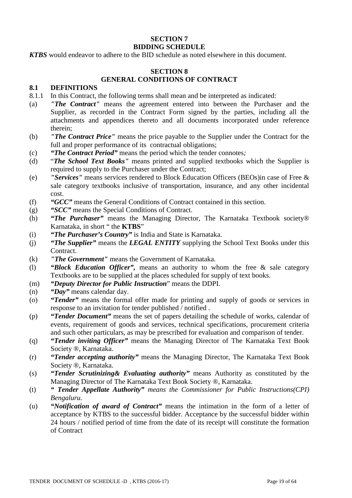#### **SECTION 7 BIDDING SCHEDULE**

*KTBS* would endeavor to adhere to the BID schedule as noted elsewhere in this document.

# **SECTION 8**

# **GENERAL CONDITIONS OF CONTRACT**

### **8.1 DEFINITIONS**

- 8.1.1 In this Contract, the following terms shall mean and be interpreted as indicated:
- (a) *"The Contract"* means the agreement entered into between the Purchaser and the Supplier, as recorded in the Contract Form signed by the parties, including all the attachments and appendices thereto and all documents incorporated under reference therein;
- (b) *"The Contract Price"* means the price payable to the Supplier under the Contract for the full and proper performance of its contractual obligations;
- (c) *"The Contract Period"* means the period which the tender connotes*;*
- (d) "*The School Text Books"* means printed and supplied textbooks which the Supplier is required to supply to the Purchaser under the Contract;
- (e) *"Services"* means services rendered to Block Education Officers (BEOs)in case of Free & sale category textbooks inclusive of transportation, insurance, and any other incidental cost.
- (f) *"GCC"* means the General Conditions of Contract contained in this section.
- (g) *"SCC"* means the Special Conditions of Contract.
- (h) *"The Purchaser"* means the Managing Director, The Karnataka Textbook society® Karnataka, in short " the **KTBS**"
- (i) *"The Purchaser's Country"* is India and State is Karnataka.
- (j) *"The Supplier"* means the *LEGAL ENTITY* supplying the School Text Books under this Contract.
- (k) *"The Government"* means the Government of Karnataka.
- (l) *"Block Education Officer",* means an authority to whom the free & sale category Textbooks are to be supplied at the places scheduled for supply of text books.
- (m) *"Deputy Director for Public Instruction*" means the DDPI.
- (n) *"Day"* means calendar day.
- (o) *"Tender"* means the formal offer made for printing and supply of goods or services in response to an invitation for tender published / notified .
- (p) *"Tender Document"* means the set of papers detailing the schedule of works, calendar of events, requirement of goods and services, technical specifications, procurement criteria and such other particulars, as may be prescribed for evaluation and comparison of tender.
- (q) *"Tender inviting Officer"* means the Managing Director of The Karnataka Text Book Society ®, Karnataka.
- (r) *"Tender accepting authority"* means the Managing Director, The Karnataka Text Book Society ®, Karnataka.
- (s) *"Tender Scrutinizing& Evaluating authority"* means Authority as constituted by the Managing Director of The Karnataka Text Book Society ®, Karnataka.
- (t) *" Tender Appellate Authority" means the Commissioner for Public Instructions(CPI) Bengaluru.*
- (u) *"Notification of award of Contract"* means the intimation in the form of a letter of acceptance by KTBS to the successful bidder. Acceptance by the successful bidder within 24 hours / notified period of time from the date of its receipt will constitute the formation of Contract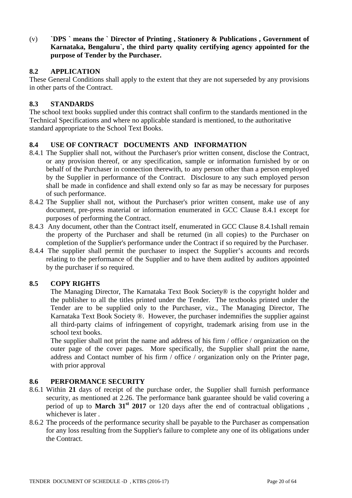(v) **`DPS ` means the ` Director of Printing , Stationery & Publications , Government of Karnataka, Bengaluru`, the third party quality certifying agency appointed for the purpose of Tender by the Purchaser.**

# **8.2 APPLICATION**

These General Conditions shall apply to the extent that they are not superseded by any provisions in other parts of the Contract.

# **8.3 STANDARDS**

The school text books supplied under this contract shall confirm to the standards mentioned in the Technical Specifications and where no applicable standard is mentioned, to the authoritative standard appropriate to the School Text Books.

# **8.4 USE OF CONTRACT DOCUMENTS AND INFORMATION**

- 8.4.1 The Supplier shall not, without the Purchaser's prior written consent, disclose the Contract, or any provision thereof, or any specification, sample or information furnished by or on behalf of the Purchaser in connection therewith, to any person other than a person employed by the Supplier in performance of the Contract. Disclosure to any such employed person shall be made in confidence and shall extend only so far as may be necessary for purposes of such performance.
- 8.4.2 The Supplier shall not, without the Purchaser's prior written consent, make use of any document, pre-press material or information enumerated in GCC Clause 8.4.1 except for purposes of performing the Contract.
- 8.4.3 Any document, other than the Contract itself, enumerated in GCC Clause 8.4.1shall remain the property of the Purchaser and shall be returned (in all copies) to the Purchaser on completion of the Supplier's performance under the Contract if so required by the Purchaser.
- 8.4.4 The supplier shall permit the purchaser to inspect the Supplier's accounts and records relating to the performance of the Supplier and to have them audited by auditors appointed by the purchaser if so required.

#### **8.5 COPY RIGHTS**

The Managing Director, The Karnataka Text Book Society® is the copyright holder and the publisher to all the titles printed under the Tender. The textbooks printed under the Tender are to be supplied only to the Purchaser, viz., The Managing Director, The Karnataka Text Book Society ®. However, the purchaser indemnifies the supplier against all third-party claims of infringement of copyright, trademark arising from use in the school text books.

The supplier shall not print the name and address of his firm / office / organization on the outer page of the cover pages. More specifically, the Supplier shall print the name, address and Contact number of his firm / office / organization only on the Printer page, with prior approval

### **8.6 PERFORMANCE SECURITY**

- 8.6.1 Within **21** days of receipt of the purchase order, the Supplier shall furnish performance security, as mentioned at 2.26. The performance bank guarantee should be valid covering a period of up to **March 31st 2017** or 120 days after the end of contractual obligations , whichever is later .
- 8.6.2 The proceeds of the performance security shall be payable to the Purchaser as compensation for any loss resulting from the Supplier's failure to complete any one of its obligations under the Contract.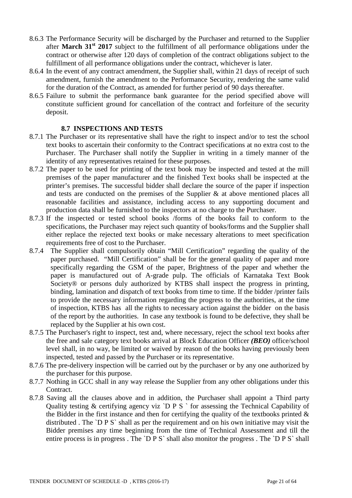- 8.6.3 The Performance Security will be discharged by the Purchaser and returned to the Supplier after **March 31st 2017** subject to the fulfillment of all performance obligations under the contract or otherwise after 120 days of completion of the contract obligations subject to the fulfillment of all performance obligations under the contract, whichever is later.
- 8.6.4 In the event of any contract amendment, the Supplier shall, within 21 days of receipt of such amendment, furnish the amendment to the Performance Security, rendering the same valid for the duration of the Contract, as amended for further period of 90 days thereafter.
- 8.6.5 Failure to submit the performance bank guarantee for the period specified above will constitute sufficient ground for cancellation of the contract and forfeiture of the security deposit.

### **8.7 INSPECTIONS AND TESTS**

- 8.7.1 The Purchaser or its representative shall have the right to inspect and/or to test the school text books to ascertain their conformity to the Contract specifications at no extra cost to the Purchaser. The Purchaser shall notify the Supplier in writing in a timely manner of the identity of any representatives retained for these purposes.
- 8.7.2 The paper to be used for printing of the text book may be inspected and tested at the mill premises of the paper manufacturer and the finished Text books shall be inspected at the printer's premises. The successful bidder shall declare the source of the paper if inspection and tests are conducted on the premises of the Supplier & at above mentioned places all reasonable facilities and assistance, including access to any supporting document and production data shall be furnished to the inspectors at no charge to the Purchaser.
- 8.7.3 If the inspected or tested school books /forms of the books fail to conform to the specifications, the Purchaser may reject such quantity of books/forms and the Supplier shall either replace the rejected text books or make necessary alterations to meet specification requirements free of cost to the Purchaser.
- 8.7.4 The Supplier shall compulsorily obtain "Mill Certification" regarding the quality of the paper purchased. "Mill Certification" shall be for the general quality of paper and more specifically regarding the GSM of the paper, Brightness of the paper and whether the paper is manufactured out of A-grade pulp. The officials of Karnataka Text Book Society<sup>®</sup> or persons duly authorized by KTBS shall inspect the progress in printing, binding, lamination and dispatch of text books from time to time. If the bidder /printer fails to provide the necessary information regarding the progress to the authorities, at the time of inspection, KTBS has all the rights to necessary action against the bidder on the basis of the report by the authorities. In case any textbook is found to be defective, they shall be replaced by the Supplier at his own cost.
- 8.7.5 The Purchaser's right to inspect, test and, where necessary, reject the school text books after the free and sale category text books arrival at Block Education Officer *(BEO)* office/school level shall, in no way, be limited or waived by reason of the books having previously been inspected, tested and passed by the Purchaser or its representative.
- 8.7.6 The pre-delivery inspection will be carried out by the purchaser or by any one authorized by the purchaser for this purpose.
- 8.7.7 Nothing in GCC shall in any way release the Supplier from any other obligations under this Contract.
- 8.7.8 Saving all the clauses above and in addition, the Purchaser shall appoint a Third party Quality testing & certifying agency viz `D P S ` for assessing the Technical Capability of the Bidder in the first instance and then for certifying the quality of the textbooks printed  $\&$ distributed . The `D P S` shall as per the requirement and on his own initiative may visit the Bidder premises any time beginning from the time of Technical Assessment and till the entire process is in progress. The `D P S` shall also monitor the progress. The `D P S` shall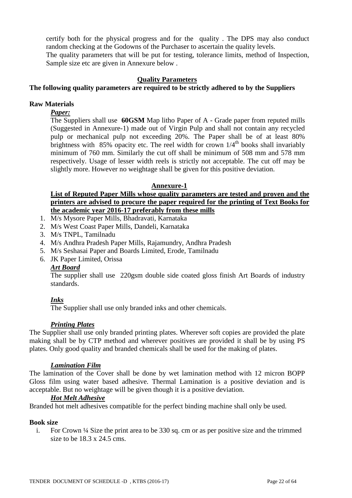certify both for the physical progress and for the quality . The DPS may also conduct random checking at the Godowns of the Purchaser to ascertain the quality levels. The quality parameters that will be put for testing, tolerance limits, method of Inspection, Sample size etc are given in Annexure below .

#### **Quality Parameters**

# **The following quality parameters are required to be strictly adhered to by the Suppliers**

#### **Raw Materials**

#### *Paper:*

The Suppliers shall use **60GSM** Map litho Paper of A - Grade paper from reputed mills (Suggested in Annexure-1) made out of Virgin Pulp and shall not contain any recycled pulp or mechanical pulp not exceeding 20%. The Paper shall be of at least 80% brightness with 85% opacity etc. The reel width for crown  $1/4<sup>th</sup>$  books shall invariably minimum of 760 mm. Similarly the cut off shall be minimum of 508 mm and 578 mm respectively. Usage of lesser width reels is strictly not acceptable. The cut off may be slightly more. However no weightage shall be given for this positive deviation.

#### **Annexure-1**

### **List of Reputed Paper Mills whose quality parameters are tested and proven and the printers are advised to procure the paper required for the printing of Text Books for the academic year 2016-17 preferably from these mills**

- 1. M/s Mysore Paper Mills, Bhadravati, Karnataka
- 2. M/s West Coast Paper Mills, Dandeli, Karnataka
- 3. M/s TNPL, Tamilnadu
- 4. M/s Andhra Pradesh Paper Mills, Rajamundry, Andhra Pradesh
- 5. M/s Seshasai Paper and Boards Limited, Erode, Tamilnadu
- 6. JK Paper Limited, Orissa

#### *Art Board*

The supplier shall use 220gsm double side coated gloss finish Art Boards of industry standards.

#### *Inks*

The Supplier shall use only branded inks and other chemicals.

#### *Printing Plates*

The Supplier shall use only branded printing plates. Wherever soft copies are provided the plate making shall be by CTP method and wherever positives are provided it shall be by using PS plates. Only good quality and branded chemicals shall be used for the making of plates.

#### *Lamination Film*

The lamination of the Cover shall be done by wet lamination method with 12 micron BOPP Gloss film using water based adhesive. Thermal Lamination is a positive deviation and is acceptable. But no weightage will be given though it is a positive deviation.

#### *Hot Melt Adhesive*

Branded hot melt adhesives compatible for the perfect binding machine shall only be used.

#### **Book size**

i. For Crown ¼ Size the print area to be 330 sq. cm or as per positive size and the trimmed size to be 18.3 x 24.5 cms.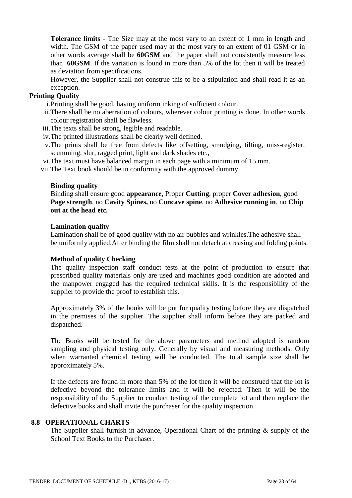**Tolerance limits** - The Size may at the most vary to an extent of 1 mm in length and width. The GSM of the paper used may at the most vary to an extent of 01 GSM or in other words average shall be **60GSM** and the paper shall not consistently measure less than **60GSM**. If the variation is found in more than 5% of the lot then it will be treated as deviation from specifications.

However, the Supplier shall not construe this to be a stipulation and shall read it as an exception.

### **Printing Quality**

i.Printing shall be good, having uniform inking of sufficient colour.

- ii.There shall be no aberration of colours, wherever colour printing is done. In other words colour registration shall be flawless.
- iii.The texts shall be strong, legible and readable.
- iv.The printed illustrations shall be clearly well defined.
- v.The prints shall be free from defects like offsetting, smudging, tilting, miss-register, scumming, slur, ragged print, light and dark shades etc.,
- vi.The text must have balanced margin in each page with a minimum of 15 mm.

vii.The Text book should be in conformity with the approved dummy.

#### **Binding quality**

Binding shall ensure good **appearance,** Proper **Cutting**, proper **Cover adhesion**, good **Page strength**, no **Cavity Spines,** no **Concave spine**, no **Adhesive running in**, no **Chip out at the head etc.**

#### **Lamination quality**

Lamination shall be of good quality with no air bubbles and wrinkles.The adhesive shall be uniformly applied.After binding the film shall not detach at creasing and folding points.

#### **Method of quality Checking**

The quality inspection staff conduct tests at the point of production to ensure that prescribed quality materials only are used and machines good condition are adopted and the manpower engaged has the required technical skills. It is the responsibility of the supplier to provide the proof to establish this.

Approximately 3% of the books will be put for quality testing before they are dispatched in the premises of the supplier. The supplier shall inform before they are packed and dispatched.

The Books will be tested for the above parameters and method adopted is random sampling and physical testing only. Generally by visual and measuring methods. Only when warranted chemical testing will be conducted. The total sample size shall be approximately 5%.

If the defects are found in more than 5% of the lot then it will be construed that the lot is defective beyond the tolerance limits and it will be rejected. Then it will be the responsibility of the Supplier to conduct testing of the complete lot and then replace the defective books and shall invite the purchaser for the quality inspection.

#### **8.8 OPERATIONAL CHARTS**

The Supplier shall furnish in advance, Operational Chart of the printing & supply of the School Text Books to the Purchaser.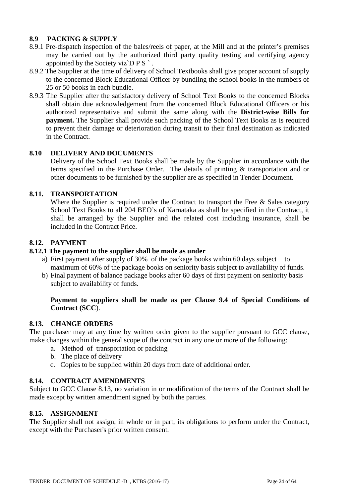# **8.9 PACKING & SUPPLY**

- 8.9.1 Pre-dispatch inspection of the bales/reels of paper, at the Mill and at the printer's premises may be carried out by the authorized third party quality testing and certifying agency appointed by the Society viz $\overline{D} P S$ .
- 8.9.2 The Supplier at the time of delivery of School Textbooks shall give proper account of supply to the concerned Block Educational Officer by bundling the school books in the numbers of 25 or 50 books in each bundle.
- 8.9.3 The Supplier after the satisfactory delivery of School Text Books to the concerned Blocks shall obtain due acknowledgement from the concerned Block Educational Officers or his authorized representative and submit the same along with the **District-wise Bills for payment.** The Supplier shall provide such packing of the School Text Books as is required to prevent their damage or deterioration during transit to their final destination as indicated in the Contract.

# **8.10 DELIVERY AND DOCUMENTS**

Delivery of the School Text Books shall be made by the Supplier in accordance with the terms specified in the Purchase Order. The details of printing & transportation and or other documents to be furnished by the supplier are as specified in Tender Document.

# **8.11. TRANSPORTATION**

Where the Supplier is required under the Contract to transport the Free & Sales category School Text Books to all 204 BEO's of Karnataka as shall be specified in the Contract, it shall be arranged by the Supplier and the related cost including insurance, shall be included in the Contract Price.

# **8.12. PAYMENT**

### **8.12.1 The payment to the supplier shall be made as under**

- a) First payment after supply of 30% of the package books within 60 days subject to maximum of 60% of the package books on seniority basis subject to availability of funds.
- b) Final payment of balance package books after 60 days of first payment on seniority basis subject to availability of funds.

# **Payment to suppliers shall be made as per Clause 9.4 of Special Conditions of Contract (SCC**).

#### **8.13. CHANGE ORDERS**

The purchaser may at any time by written order given to the supplier pursuant to GCC clause, make changes within the general scope of the contract in any one or more of the following:

- a. Method of transportation or packing
- b. The place of delivery
- c. Copies to be supplied within 20 days from date of additional order.

### **8.14. CONTRACT AMENDMENTS**

Subject to GCC Clause 8.13, no variation in or modification of the terms of the Contract shall be made except by written amendment signed by both the parties.

#### **8.15. ASSIGNMENT**

The Supplier shall not assign, in whole or in part, its obligations to perform under the Contract, except with the Purchaser's prior written consent.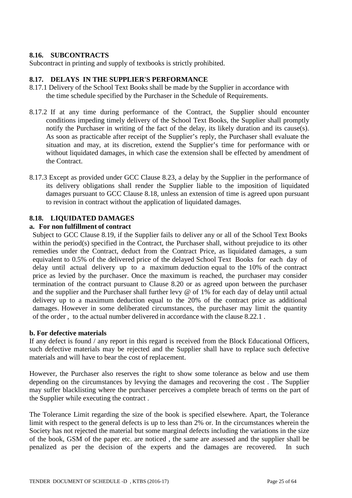# **8.16. SUBCONTRACTS**

Subcontract in printing and supply of textbooks is strictly prohibited.

# **8.17. DELAYS IN THE SUPPLIER'S PERFORMANCE**

- 8.17.1 Delivery of the School Text Books shall be made by the Supplier in accordance with the time schedule specified by the Purchaser in the Schedule of Requirements.
- 8.17.2 If at any time during performance of the Contract, the Supplier should encounter conditions impeding timely delivery of the School Text Books, the Supplier shall promptly notify the Purchaser in writing of the fact of the delay, its likely duration and its cause(s). As soon as practicable after receipt of the Supplier's reply, the Purchaser shall evaluate the situation and may, at its discretion, extend the Supplier's time for performance with or without liquidated damages, in which case the extension shall be effected by amendment of the Contract.
- 8.17.3 Except as provided under GCC Clause 8.23, a delay by the Supplier in the performance of its delivery obligations shall render the Supplier liable to the imposition of liquidated damages pursuant to GCC Clause 8.18, unless an extension of time is agreed upon pursuant to revision in contract without the application of liquidated damages.

# **8.18. LIQUIDATED DAMAGES**

#### **a. For non fulfillment of contract**

Subject to GCC Clause 8.19, if the Supplier fails to deliver any or all of the School Text Books within the period(s) specified in the Contract, the Purchaser shall, without prejudice to its other remedies under the Contract, deduct from the Contract Price, as liquidated damages, a sum equivalent to 0.5% of the delivered price of the delayed School Text Books for each day of delay until actual delivery up to a maximum deduction equal to the 10% of the contract price as levied by the purchaser. Once the maximum is reached, the purchaser may consider termination of the contract pursuant to Clause 8.20 or as agreed upon between the purchaser and the supplier and the Purchaser shall further levy @ of 1% for each day of delay until actual delivery up to a maximum deduction equal to the 20% of the contract price as additional damages. However in some deliberated circumstances, the purchaser may limit the quantity of the order , to the actual number delivered in accordance with the clause 8.22.1 .

#### **b. For defective materials**

If any defect is found / any report in this regard is received from the Block Educational Officers, such defective materials may be rejected and the Supplier shall have to replace such defective materials and will have to bear the cost of replacement.

However, the Purchaser also reserves the right to show some tolerance as below and use them depending on the circumstances by levying the damages and recovering the cost . The Supplier may suffer blacklisting where the purchaser perceives a complete breach of terms on the part of the Supplier while executing the contract .

The Tolerance Limit regarding the size of the book is specified elsewhere. Apart, the Tolerance limit with respect to the general defects is up to less than 2% or. In the circumstances wherein the Society has not rejected the material but some marginal defects including the variations in the size of the book, GSM of the paper etc. are noticed , the same are assessed and the supplier shall be penalized as per the decision of the experts and the damages are recovered. In such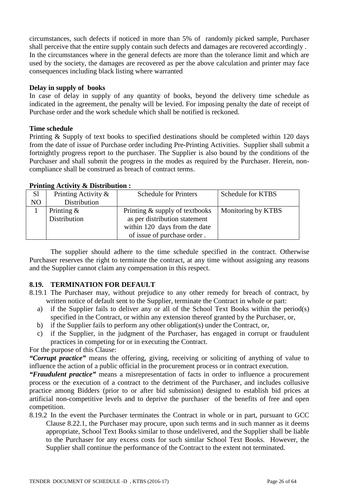circumstances, such defects if noticed in more than 5% of randomly picked sample, Purchaser shall perceive that the entire supply contain such defects and damages are recovered accordingly . In the circumstances where in the general defects are more than the tolerance limit and which are used by the society, the damages are recovered as per the above calculation and printer may face consequences including black listing where warranted

#### **Delay in supply of books**

In case of delay in supply of any quantity of books, beyond the delivery time schedule as indicated in the agreement, the penalty will be levied. For imposing penalty the date of receipt of Purchase order and the work schedule which shall be notified is reckoned.

#### **Time schedule**

Printing & Supply of text books to specified destinations should be completed within 120 days from the date of issue of Purchase order including Pre-Printing Activities. Supplier shall submit a fortnightly progress report to the purchaser. The Supplier is also bound by the conditions of the Purchaser and shall submit the progress in the modes as required by the Purchaser. Herein, noncompliance shall be construed as breach of contract terms.

### **Printing Activity & Distribution :**

| S1             | Printing Activity & | <b>Schedule for Printers</b>   | Schedule for KTBS  |
|----------------|---------------------|--------------------------------|--------------------|
| N <sub>O</sub> | Distribution        |                                |                    |
|                | Printing $\&$       | Printing & supply of textbooks | Monitoring by KTBS |
|                | Distribution        | as per distribution statement  |                    |
|                |                     | within 120 days from the date  |                    |
|                |                     | of issue of purchase order.    |                    |

The supplier should adhere to the time schedule specified in the contract. Otherwise Purchaser reserves the right to terminate the contract, at any time without assigning any reasons and the Supplier cannot claim any compensation in this respect.

#### **8.19. TERMINATION FOR DEFAULT**

- 8.19.1 The Purchaser may, without prejudice to any other remedy for breach of contract, by written notice of default sent to the Supplier, terminate the Contract in whole or part:
	- a) if the Supplier fails to deliver any or all of the School Text Books within the period(s) specified in the Contract, or within any extension thereof granted by the Purchaser, or,
	- b) if the Supplier fails to perform any other obligation(s) under the Contract, or,
	- c) if the Supplier, in the judgment of the Purchaser, has engaged in corrupt or fraudulent practices in competing for or in executing the Contract.

### For the purpose of this Clause:

*"Corrupt practice"* means the offering, giving, receiving or soliciting of anything of value to influence the action of a public official in the procurement process or in contract execution.

*"Fraudulent practice"* means a misrepresentation of facts in order to influence a procurement process or the execution of a contract to the detriment of the Purchaser, and includes collusive practice among Bidders (prior to or after bid submission) designed to establish bid prices at artificial non-competitive levels and to deprive the purchaser of the benefits of free and open competition.

8.19.2 In the event the Purchaser terminates the Contract in whole or in part, pursuant to GCC Clause 8.22.1, the Purchaser may procure, upon such terms and in such manner as it deems appropriate, School Text Books similar to those undelivered, and the Supplier shall be liable to the Purchaser for any excess costs for such similar School Text Books. However, the Supplier shall continue the performance of the Contract to the extent not terminated.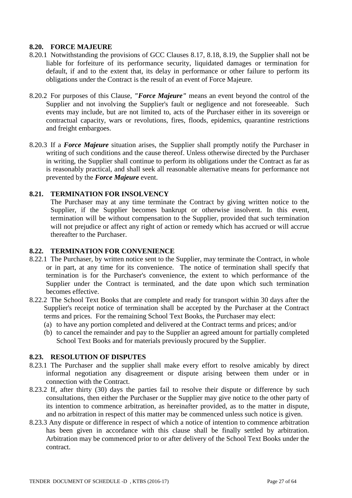# **8.20. FORCE MAJEURE**

- 8.20.1 Notwithstanding the provisions of GCC Clauses 8.17, 8.18, 8.19, the Supplier shall not be liable for forfeiture of its performance security, liquidated damages or termination for default, if and to the extent that, its delay in performance or other failure to perform its obligations under the Contract is the result of an event of Force Majeure.
- 8.20.2 For purposes of this Clause, *"Force Majeure"* means an event beyond the control of the Supplier and not involving the Supplier's fault or negligence and not foreseeable. Such events may include, but are not limited to, acts of the Purchaser either in its sovereign or contractual capacity, wars or revolutions, fires, floods, epidemics, quarantine restrictions and freight embargoes.
- 8.20.3 If a *Force Majeure* situation arises, the Supplier shall promptly notify the Purchaser in writing of such conditions and the cause thereof. Unless otherwise directed by the Purchaser in writing, the Supplier shall continue to perform its obligations under the Contract as far as is reasonably practical, and shall seek all reasonable alternative means for performance not prevented by the *Force Majeure* event.

# **8.21. TERMINATION FOR INSOLVENCY**

The Purchaser may at any time terminate the Contract by giving written notice to the Supplier, if the Supplier becomes bankrupt or otherwise insolvent. In this event, termination will be without compensation to the Supplier, provided that such termination will not prejudice or affect any right of action or remedy which has accrued or will accrue thereafter to the Purchaser.

### **8.22. TERMINATION FOR CONVENIENCE**

- 8.22.1 The Purchaser, by written notice sent to the Supplier, may terminate the Contract, in whole or in part, at any time for its convenience. The notice of termination shall specify that termination is for the Purchaser's convenience, the extent to which performance of the Supplier under the Contract is terminated, and the date upon which such termination becomes effective.
- 8.22.2 The School Text Books that are complete and ready for transport within 30 days after the Supplier's receipt notice of termination shall be accepted by the Purchaser at the Contract terms and prices. For the remaining School Text Books, the Purchaser may elect:
	- (a) to have any portion completed and delivered at the Contract terms and prices; and/or
	- (b) to cancel the remainder and pay to the Supplier an agreed amount for partially completed School Text Books and for materials previously procured by the Supplier.

#### **8.23. RESOLUTION OF DISPUTES**

- 8.23.1 The Purchaser and the supplier shall make every effort to resolve amicably by direct informal negotiation any disagreement or dispute arising between them under or in connection with the Contract.
- 8.23.2 If, after thirty (30) days the parties fail to resolve their dispute or difference by such consultations, then either the Purchaser or the Supplier may give notice to the other party of its intention to commence arbitration, as hereinafter provided, as to the matter in dispute, and no arbitration in respect of this matter may be commenced unless such notice is given.
- 8.23.3 Any dispute or difference in respect of which a notice of intention to commence arbitration has been given in accordance with this clause shall be finally settled by arbitration. Arbitration may be commenced prior to or after delivery of the School Text Books under the contract.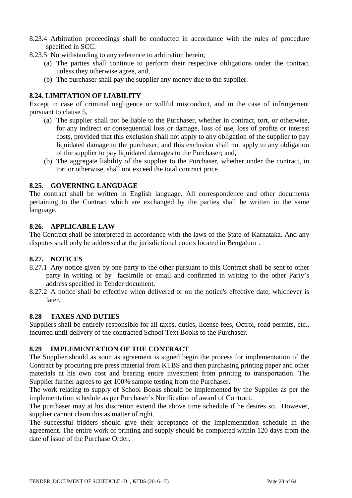- 8.23.4 Arbitration proceedings shall be conducted in accordance with the rules of procedure specified in SCC.
- 8.23.5 Notwithstanding to any reference to arbitration herein;
	- (a) The parties shall continue to perform their respective obligations under the contract unless they otherwise agree, and,
	- (b) The purchaser shall pay the supplier any money due to the supplier.

# **8.24. LIMITATION OF LIABILITY**

Except in case of criminal negligence or willful misconduct, and in the case of infringement pursuant to clause 5,

- (a) The supplier shall not be liable to the Purchaser, whether in contract, tort, or otherwise, for any indirect or consequential loss or damage, loss of use, loss of profits or interest costs, provided that this exclusion shall not apply to any obligation of the supplier to pay liquidated damage to the purchaser; and this exclusion shall not apply to any obligation of the supplier to pay liquidated damages to the Purchaser; and,
- (b) The aggregate liability of the supplier to the Purchaser, whether under the contract, in tort or otherwise, shall not exceed the total contract price.

# **8.25. GOVERNING LANGUAGE**

The contract shall be written in English language. All correspondence and other documents pertaining to the Contract which are exchanged by the parties shall be written in the same language.

#### **8.26. APPLICABLE LAW**

The Contract shall be interpreted in accordance with the laws of the State of Karnataka. And any disputes shall only be addressed at the jurisdictional courts located in Bengaluru .

#### **8.27. NOTICES**

- 8.27.1 Any notice given by one party to the other pursuant to this Contract shall be sent to other party in writing or by facsimile or email and confirmed in writing to the other Party's address specified in Tender document.
- 8.27.2 A notice shall be effective when delivered or on the notice's effective date, whichever is later.

#### **8.28 TAXES AND DUTIES**

Suppliers shall be entirely responsible for all taxes, duties, license fees, Octroi, road permits, etc., incurred until delivery of the contracted School Text Books to the Purchaser.

# **8.29 IMPLEMENTATION OF THE CONTRACT**

The Supplier should as soon as agreement is signed begin the process for implementation of the Contract by procuring pre press material from KTBS and then purchasing printing paper and other materials at his own cost and bearing entire investment from printing to transportation. The Supplier further agrees to get 100% sample testing from the Purchaser.

The work relating to supply of School Books should be implemented by the Supplier as per the implementation schedule as per Purchaser's Notification of award of Contract.

The purchaser may at his discretion extend the above time schedule if he desires so. However, supplier cannot claim this as matter of right.

The successful bidders should give their acceptance of the implementation schedule in the agreement. The entire work of printing and supply should be completed within 120 days from the date of issue of the Purchase Order.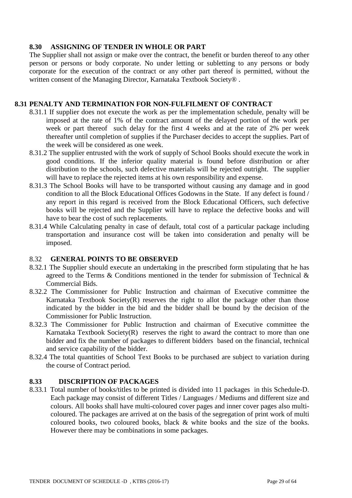# **8.30 ASSIGNING OF TENDER IN WHOLE OR PART**

The Supplier shall not assign or make over the contract, the benefit or burden thereof to any other person or persons or body corporate. No under letting or subletting to any persons or body corporate for the execution of the contract or any other part thereof is permitted, without the written consent of the Managing Director, Karnataka Textbook Society<sup>®</sup>.

### **8.31 PENALTY AND TERMINATION FOR NON-FULFILMENT OF CONTRACT**

- 8.31.1 If supplier does not execute the work as per the implementation schedule, penalty will be imposed at the rate of 1% of the contract amount of the delayed portion of the work per week or part thereof such delay for the first 4 weeks and at the rate of 2% per week thereafter until completion of supplies if the Purchaser decides to accept the supplies. Part of the week will be considered as one week.
- 8.31.2 The supplier entrusted with the work of supply of School Books should execute the work in good conditions. If the inferior quality material is found before distribution or after distribution to the schools, such defective materials will be rejected outright. The supplier will have to replace the rejected items at his own responsibility and expense.
- 8.31.3 The School Books will have to be transported without causing any damage and in good condition to all the Block Educational Offices Godowns in the State. If any defect is found / any report in this regard is received from the Block Educational Officers, such defective books will be rejected and the Supplier will have to replace the defective books and will have to bear the cost of such replacements.
- 8.31.4 While Calculating penalty in case of default, total cost of a particular package including transportation and insurance cost will be taken into consideration and penalty will be imposed.

# 8.32 **GENERAL POINTS TO BE OBSERVED**

- 8.32.1 The Supplier should execute an undertaking in the prescribed form stipulating that he has agreed to the Terms & Conditions mentioned in the tender for submission of Technical & Commercial Bids.
- 8.32.2 The Commissioner for Public Instruction and chairman of Executive committee the Karnataka Textbook Society $(R)$  reserves the right to allot the package other than those indicated by the bidder in the bid and the bidder shall be bound by the decision of the Commissioner for Public Instruction.
- 8.32.3 The Commissioner for Public Instruction and chairman of Executive committee the Karnataka Textbook Society $(R)$  reserves the right to award the contract to more than one bidder and fix the number of packages to different bidders based on the financial, technical and service capability of the bidder.
- 8.32.4 The total quantities of School Text Books to be purchased are subject to variation during the course of Contract period.

# **8.33 DISCRIPTION OF PACKAGES**

8.33.1 Total number of books/titles to be printed is divided into 11 packages in this Schedule-D. Each package may consist of different Titles / Languages / Mediums and different size and colours. All books shall have multi-coloured cover pages and inner cover pages also multicoloured. The packages are arrived at on the basis of the segregation of print work of multi coloured books, two coloured books, black & white books and the size of the books. However there may be combinations in some packages.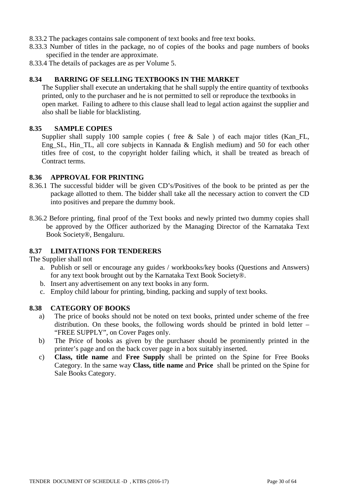- 8.33.2 The packages contains sale component of text books and free text books.
- 8.33.3 Number of titles in the package, no of copies of the books and page numbers of books specified in the tender are approximate.
- 8.33.4 The details of packages are as per Volume 5.

# **8.34 BARRING OF SELLING TEXTBOOKS IN THE MARKET**

The Supplier shall execute an undertaking that he shall supply the entire quantity of textbooks printed, only to the purchaser and he is not permitted to sell or reproduce the textbooks in open market. Failing to adhere to this clause shall lead to legal action against the supplier and also shall be liable for blacklisting.

#### **8.35 SAMPLE COPIES**

Supplier shall supply 100 sample copies (free & Sale) of each major titles (Kan\_FL, Eng\_SL, Hin\_TL, all core subjects in Kannada & English medium) and 50 for each other titles free of cost, to the copyright holder failing which, it shall be treated as breach of Contract terms.

#### **8.36 APPROVAL FOR PRINTING**

- 8.36.1 The successful bidder will be given CD's/Positives of the book to be printed as per the package allotted to them. The bidder shall take all the necessary action to convert the CD into positives and prepare the dummy book.
- 8.36.2 Before printing, final proof of the Text books and newly printed two dummy copies shall be approved by the Officer authorized by the Managing Director of the Karnataka Text Book Society®, Bengaluru.

# **8.37 LIMITATIONS FOR TENDERERS**

The Supplier shall not

- a. Publish or sell or encourage any guides / workbooks/key books (Questions and Answers) for any text book brought out by the Karnataka Text Book Society®.
- b. Insert any advertisement on any text books in any form.
- c. Employ child labour for printing, binding, packing and supply of text books.

#### **8.38 CATEGORY OF BOOKS**

- a) The price of books should not be noted on text books, printed under scheme of the free distribution. On these books, the following words should be printed in bold letter – "FREE SUPPLY", on Cover Pages only.
- b) The Price of books as given by the purchaser should be prominently printed in the printer's page and on the back cover page in a box suitably inserted.
- c) **Class, title name** and **Free Supply** shall be printed on the Spine for Free Books Category. In the same way **Class, title name** and **Price** shall be printed on the Spine for Sale Books Category.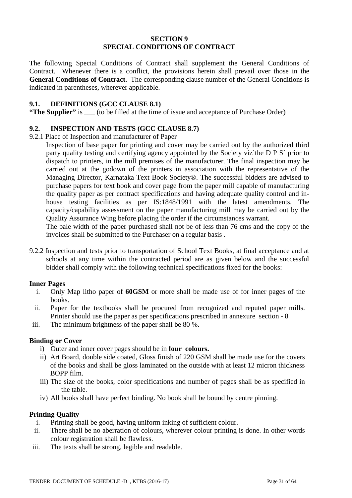#### **SECTION 9 SPECIAL CONDITIONS OF CONTRACT**

The following Special Conditions of Contract shall supplement the General Conditions of Contract. Whenever there is a conflict, the provisions herein shall prevail over those in the **General Conditions of Contract.** The corresponding clause number of the General Conditions is indicated in parentheses, wherever applicable.

### **9.1. DEFINITIONS (GCC CLAUSE 8.1)**

**"The Supplier"** is \_\_\_ (to be filled at the time of issue and acceptance of Purchase Order)

# **9.2. INSPECTION AND TESTS (GCC CLAUSE 8.7)**

- 9.2.1 Place of Inspection and manufacturer of Paper
	- Inspection of base paper for printing and cover may be carried out by the authorized third party quality testing and certifying agency appointed by the Society viz`the D P S` prior to dispatch to printers, in the mill premises of the manufacturer. The final inspection may be carried out at the godown of the printers in association with the representative of the Managing Director, Karnataka Text Book Society®. The successful bidders are advised to purchase papers for text book and cover page from the paper mill capable of manufacturing the quality paper as per contract specifications and having adequate quality control and inhouse testing facilities as per IS:1848/1991 with the latest amendments. The capacity/capability assessment on the paper manufacturing mill may be carried out by the Quality Assurance Wing before placing the order if the circumstances warrant.

The bale width of the paper purchased shall not be of less than 76 cms and the copy of the invoices shall be submitted to the Purchaser on a regular basis .

9.2.2 Inspection and tests prior to transportation of School Text Books, at final acceptance and at schools at any time within the contracted period are as given below and the successful bidder shall comply with the following technical specifications fixed for the books:

#### **Inner Pages**

- i. Only Map litho paper of **60GSM** or more shall be made use of for inner pages of the books.
- ii. Paper for the textbooks shall be procured from recognized and reputed paper mills. Printer should use the paper as per specifications prescribed in annexure section - 8
- iii. The minimum brightness of the paper shall be 80 %.

# **Binding or Cover**

- i) Outer and inner cover pages should be in **four colours.**
- ii) Art Board, double side coated, Gloss finish of 220 GSM shall be made use for the covers of the books and shall be gloss laminated on the outside with at least 12 micron thickness BOPP film.
- iii) The size of the books, color specifications and number of pages shall be as specified in the table.
- iv) All books shall have perfect binding. No book shall be bound by centre pinning.

#### **Printing Quality**

- i. Printing shall be good, having uniform inking of sufficient colour.
- ii. There shall be no aberration of colours, wherever colour printing is done. In other words colour registration shall be flawless.
- iii. The texts shall be strong, legible and readable.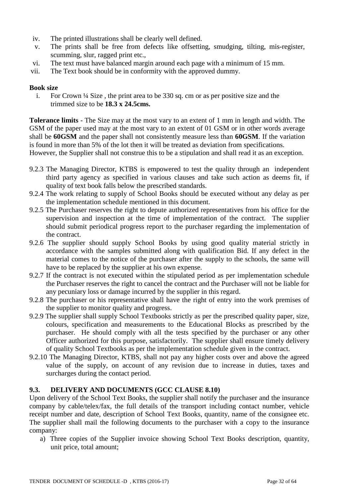- iv. The printed illustrations shall be clearly well defined.
- v. The prints shall be free from defects like offsetting, smudging, tilting, mis-register, scumming, slur, ragged print etc.,
- vi. The text must have balanced margin around each page with a minimum of 15 mm.
- vii. The Text book should be in conformity with the approved dummy.

# **Book size**

i. For Crown ¼ Size , the print area to be 330 sq. cm or as per positive size and the trimmed size to be **18.3 x 24.5cms.**

**Tolerance limits** - The Size may at the most vary to an extent of 1 mm in length and width. The GSM of the paper used may at the most vary to an extent of 01 GSM or in other words average shall be **60GSM** and the paper shall not consistently measure less than **60GSM**. If the variation is found in more than 5% of the lot then it will be treated as deviation from specifications.

However, the Supplier shall not construe this to be a stipulation and shall read it as an exception.

- 9.2.3 The Managing Director, KTBS is empowered to test the quality through an independent third party agency as specified in various clauses and take such action as deems fit, if quality of text book falls below the prescribed standards.
- 9.2.4 The work relating to supply of School Books should be executed without any delay as per the implementation schedule mentioned in this document.
- 9.2.5 The Purchaser reserves the right to depute authorized representatives from his office for the supervision and inspection at the time of implementation of the contract. The supplier should submit periodical progress report to the purchaser regarding the implementation of the contract.
- 9.2.6 The supplier should supply School Books by using good quality material strictly in accordance with the samples submitted along with qualification Bid. If any defect in the material comes to the notice of the purchaser after the supply to the schools, the same will have to be replaced by the supplier at his own expense.
- 9.2.7 If the contract is not executed within the stipulated period as per implementation schedule the Purchaser reserves the right to cancel the contract and the Purchaser will not be liable for any pecuniary loss or damage incurred by the supplier in this regard.
- 9.2.8 The purchaser or his representative shall have the right of entry into the work premises of the supplier to monitor quality and progress.
- 9.2.9 The supplier shall supply School Textbooks strictly as per the prescribed quality paper, size, colours, specification and measurements to the Educational Blocks as prescribed by the purchaser. He should comply with all the tests specified by the purchaser or any other Officer authorized for this purpose, satisfactorily. The supplier shall ensure timely delivery of quality School Textbooks as per the implementation schedule given in the contract.
- 9.2.10 The Managing Director, KTBS, shall not pay any higher costs over and above the agreed value of the supply, on account of any revision due to increase in duties, taxes and surcharges during the contact period.

# **9.3. DELIVERY AND DOCUMENTS (GCC CLAUSE 8.10)**

Upon delivery of the School Text Books, the supplier shall notify the purchaser and the insurance company by cable/telex/fax, the full details of the transport including contact number, vehicle receipt number and date, description of School Text Books, quantity, name of the consignee etc. The supplier shall mail the following documents to the purchaser with a copy to the insurance company:

a) Three copies of the Supplier invoice showing School Text Books description, quantity, unit price, total amount;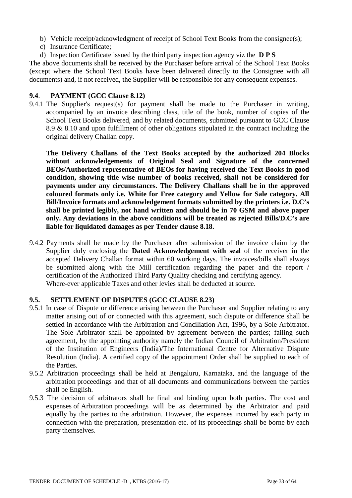- b) Vehicle receipt/acknowledgment of receipt of School Text Books from the consignee(s);
- c) Insurance Certificate;
- d) Inspection Certificate issued by the third party inspection agency viz the **D P S**

The above documents shall be received by the Purchaser before arrival of the School Text Books (except where the School Text Books have been delivered directly to the Consignee with all documents) and, if not received, the Supplier will be responsible for any consequent expenses.

#### **9.4**. **PAYMENT (GCC Clause 8.12)**

9.4.1 The Supplier's request(s) for payment shall be made to the Purchaser in writing, accompanied by an invoice describing class, title of the book, number of copies of the School Text Books delivered, and by related documents, submitted pursuant to GCC Clause 8.9 & 8.10 and upon fulfillment of other obligations stipulated in the contract including the original delivery Challan copy.

**The Delivery Challans of the Text Books accepted by the authorized 204 Blocks without acknowledgements of Original Seal and Signature of the concerned BEOs/Authorized representative of BEOs for having received the Text Books in good condition, showing title wise number of books received, shall not be considered for payments under any circumstances. The Delivery Challans shall be in the approved coloured formats only i.e. White for Free category and Yellow for Sale category. All Bill/Invoice formats and acknowledgement formats submitted by the printers i.e. D.C's shall be printed legibly, not hand written and should be in 70 GSM and above paper only. Any deviations in the above conditions will be treated as rejected Bills/D.C's are liable for liquidated damages as per Tender clause 8.18.** 

9.4.2 Payments shall be made by the Purchaser after submission of the invoice claim by the Supplier duly enclosing the **Dated Acknowledgement with seal** of the receiver in the accepted Delivery Challan format within 60 working days. The invoices/bills shall always be submitted along with the Mill certification regarding the paper and the report / certification of the Authorized Third Party Quality checking and certifying agency. Where-ever applicable Taxes and other levies shall be deducted at source.

#### **9.5. SETTLEMENT OF DISPUTES (GCC CLAUSE 8.23)**

- 9.5.1 In case of Dispute or difference arising between the Purchaser and Supplier relating to any matter arising out of or connected with this agreement, such dispute or difference shall be settled in accordance with the Arbitration and Conciliation Act, 1996, by a Sole Arbitrator. The Sole Arbitrator shall be appointed by agreement between the parties; failing such agreement, by the appointing authority namely the Indian Council of Arbitration/President of the Institution of Engineers (India)/The International Centre for Alternative Dispute Resolution (India). A certified copy of the appointment Order shall be supplied to each of the Parties.
- 9.5.2 Arbitration proceedings shall be held at Bengaluru, Karnataka, and the language of the arbitration proceedings and that of all documents and communications between the parties shall be English.
- 9.5.3 The decision of arbitrators shall be final and binding upon both parties. The cost and expenses of Arbitration proceedings will be as determined by the Arbitrator and paid equally by the parties to the arbitration. However, the expenses incurred by each party in connection with the preparation, presentation etc. of its proceedings shall be borne by each party themselves.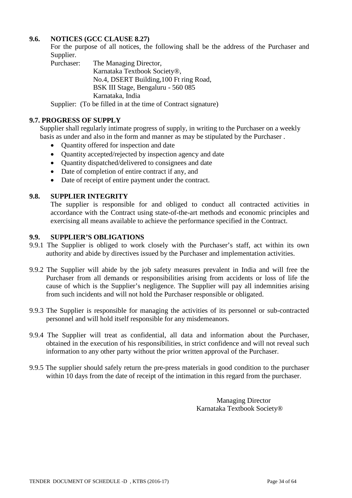# **9.6. NOTICES (GCC CLAUSE 8.27)**

For the purpose of all notices, the following shall be the address of the Purchaser and Supplier.<br>Purchaser:

The Managing Director, Karnataka Textbook Society®, No.4, DSERT Building,100 Ft ring Road, BSK III Stage, Bengaluru - 560 085 Karnataka, India

Supplier: (To be filled in at the time of Contract signature)

# **9.7. PROGRESS OF SUPPLY**

Supplier shall regularly intimate progress of supply, in writing to the Purchaser on a weekly basis as under and also in the form and manner as may be stipulated by the Purchaser .

- Quantity offered for inspection and date
- Quantity accepted/rejected by inspection agency and date
- Ouantity dispatched/delivered to consignees and date
- Date of completion of entire contract if any, and
- Date of receipt of entire payment under the contract.

# **9.8. SUPPLIER INTEGRITY**

The supplier is responsible for and obliged to conduct all contracted activities in accordance with the Contract using state-of-the-art methods and economic principles and exercising all means available to achieve the performance specified in the Contract.

# **9.9. SUPPLIER'S OBLIGATIONS**

- 9.9.1 The Supplier is obliged to work closely with the Purchaser's staff, act within its own authority and abide by directives issued by the Purchaser and implementation activities.
- 9.9.2 The Supplier will abide by the job safety measures prevalent in India and will free the Purchaser from all demands or responsibilities arising from accidents or loss of life the cause of which is the Supplier's negligence. The Supplier will pay all indemnities arising from such incidents and will not hold the Purchaser responsible or obligated.
- 9.9.3 The Supplier is responsible for managing the activities of its personnel or sub-contracted personnel and will hold itself responsible for any misdemeanors.
- 9.9.4 The Supplier will treat as confidential, all data and information about the Purchaser, obtained in the execution of his responsibilities, in strict confidence and will not reveal such information to any other party without the prior written approval of the Purchaser.
- 9.9.5 The supplier should safely return the pre-press materials in good condition to the purchaser within 10 days from the date of receipt of the intimation in this regard from the purchaser.

Managing Director Karnataka Textbook Society®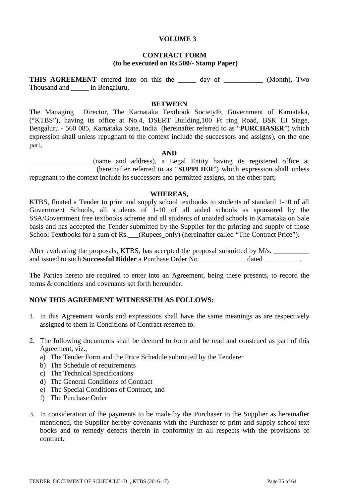#### **VOLUME 3**

#### **CONTRACT FORM (to be executed on Rs 500/- Stamp Paper)**

**THIS AGREEMENT** entered into on this the day of (Month), Two Thousand and \_\_\_\_\_ in Bengaluru,

#### **BETWEEN**

The Managing Director, The Karnataka Textbook Society®, Government of Karnataka, ("KTBS"), having its office at No.4, DSERT Building,100 Ft ring Road, BSK III Stage, Bengaluru - 560 085, Karnataka State, India (hereinafter referred to as "**PURCHASER**") which expression shall unless repugnant to the context include the successors and assigns), on the one part,

#### **AND**

\_\_\_\_\_\_\_\_\_\_\_\_\_\_\_\_\_\_(name and address), a Legal Entity having its registered office at \_\_\_\_\_\_\_\_\_\_\_\_\_\_\_\_\_\_\_(hereinafter referred to as "**SUPPLIER**") which expression shall unless repugnant to the context include its successors and permitted assigns, on the other part,

#### **WHEREAS,**

KTBS, floated a Tender to print and supply school textbooks to students of standard 1-10 of all Government Schools, all students of 1-10 of all aided schools as sponsored by the SSA/Government free textbooks scheme and all students of unaided schools in Karnataka on Sale basis and has accepted the Tender submitted by the Supplier for the printing and supply of those School Textbooks for a sum of Rs. (Rupees\_only) (hereinafter called "The Contract Price").

After evaluating the proposals, KTBS, has accepted the proposal submitted by M/s. and issued to such **Successful Bidder** a Purchase Order No.  $\qquad \qquad$  dated  $\qquad \qquad$ .

The Parties hereto are required to enter into an Agreement, being these presents, to record the terms & conditions and covenants set forth hereunder.

#### **NOW THIS AGREEMENT WITNESSETH AS FOLLOWS:**

- 1. In this Agreement words and expressions shall have the same meanings as are respectively assigned to them in Conditions of Contract referred to.
- 2. The following documents shall be deemed to form and be read and construed as part of this Agreement, viz.,
	- a) The Tender Form and the Price Schedule submitted by the Tenderer
	- b) The Schedule of requirements
	- c) The Technical Specifications
	- d) The General Conditions of Contract
	- e) The Special Conditions of Contract, and
	- f) The Purchase Order
- 3. In consideration of the payments to be made by the Purchaser to the Supplier as hereinafter mentioned, the Supplier hereby covenants with the Purchaser to print and supply school text books and to remedy defects therein in conformity in all respects with the provisions of contract.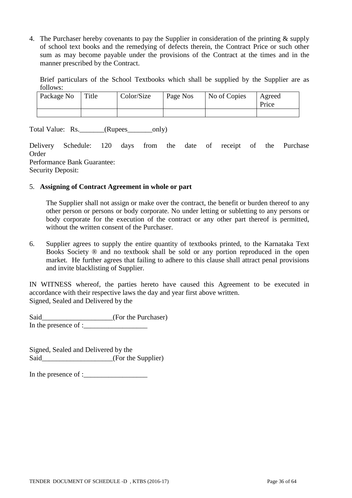4. The Purchaser hereby covenants to pay the Supplier in consideration of the printing & supply of school text books and the remedying of defects therein, the Contract Price or such other sum as may become payable under the provisions of the Contract at the times and in the manner prescribed by the Contract.

Brief particulars of the School Textbooks which shall be supplied by the Supplier are as follows:

| Package No | Title | Color/Size | Page Nos | No of Copies | Agreed<br>Price |
|------------|-------|------------|----------|--------------|-----------------|
|            |       |            |          |              |                 |

Total Value: Rs.\_\_\_\_\_\_\_(Rupees\_\_\_\_\_\_\_only)

Delivery Schedule: 120 days from the date of receipt of the Purchase Order Performance Bank Guarantee: Security Deposit:

### 5. **Assigning of Contract Agreement in whole or part**

The Supplier shall not assign or make over the contract, the benefit or burden thereof to any other person or persons or body corporate. No under letting or subletting to any persons or body corporate for the execution of the contract or any other part thereof is permitted, without the written consent of the Purchaser.

6. Supplier agrees to supply the entire quantity of textbooks printed, to the Karnataka Text Books Society ® and no textbook shall be sold or any portion reproduced in the open market. He further agrees that failing to adhere to this clause shall attract penal provisions and invite blacklisting of Supplier.

IN WITNESS whereof, the parties hereto have caused this Agreement to be executed in accordance with their respective laws the day and year first above written. Signed, Sealed and Delivered by the

Said\_\_\_\_\_\_\_\_\_\_\_\_\_\_\_\_\_\_\_\_(For the Purchaser) In the presence of :\_\_\_\_\_\_\_\_\_\_\_\_\_\_\_\_\_\_

Signed, Sealed and Delivered by the Said\_\_\_\_\_\_\_\_\_\_\_\_\_\_\_\_\_\_\_\_\_(For the Supplier)

In the presence of :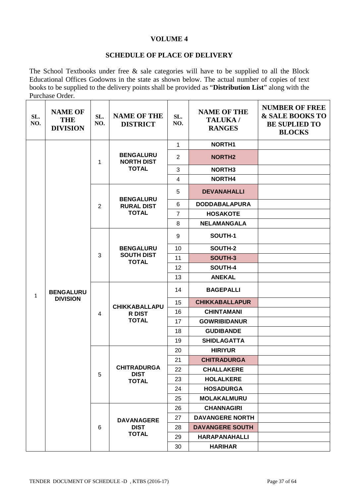### **VOLUME 4**

# **SCHEDULE OF PLACE OF DELIVERY**

The School Textbooks under free & sale categories will have to be supplied to all the Block Educational Offices Godowns in the state as shown below. The actual number of copies of text books to be supplied to the delivery points shall be provided as "**Distribution List**" along with the Purchase Order.

| SL.<br>NO.   | <b>NAME OF</b><br><b>THE</b><br><b>DIVISION</b> | SL.<br>NO.     | <b>NAME OF THE</b><br><b>DISTRICT</b> | SL.<br>NO.     | <b>NAME OF THE</b><br>TALUKA /<br><b>RANGES</b> | <b>NUMBER OF FREE</b><br>& SALE BOOKS TO<br><b>BE SUPLIED TO</b><br><b>BLOCKS</b> |
|--------------|-------------------------------------------------|----------------|---------------------------------------|----------------|-------------------------------------------------|-----------------------------------------------------------------------------------|
|              |                                                 |                |                                       | $\mathbf{1}$   | NORTH <sub>1</sub>                              |                                                                                   |
|              |                                                 | 1              | <b>BENGALURU</b><br><b>NORTH DIST</b> | $\overline{2}$ | <b>NORTH2</b>                                   |                                                                                   |
|              |                                                 |                | <b>TOTAL</b>                          | 3              | <b>NORTH3</b>                                   |                                                                                   |
|              |                                                 |                |                                       | $\overline{4}$ | NORTH4                                          |                                                                                   |
|              |                                                 |                | <b>BENGALURU</b>                      | 5              | <b>DEVANAHALLI</b>                              |                                                                                   |
|              |                                                 | $\overline{2}$ | <b>RURAL DIST</b>                     | 6              | <b>DODDABALAPURA</b>                            |                                                                                   |
|              |                                                 |                | <b>TOTAL</b>                          | $\overline{7}$ | <b>HOSAKOTE</b>                                 |                                                                                   |
|              |                                                 |                |                                       | 8              | <b>NELAMANGALA</b>                              |                                                                                   |
|              |                                                 |                |                                       | 9              | SOUTH-1                                         |                                                                                   |
|              |                                                 |                | <b>BENGALURU</b>                      | 10             | SOUTH-2<br>SOUTH-3                              |                                                                                   |
|              | <b>BENGALURU</b><br><b>DIVISION</b>             | 3              | <b>SOUTH DIST</b><br><b>TOTAL</b>     | 11             |                                                 |                                                                                   |
|              |                                                 |                |                                       | 12             | SOUTH-4                                         |                                                                                   |
|              |                                                 |                |                                       | 13             | <b>ANEKAL</b>                                   |                                                                                   |
| $\mathbf{1}$ |                                                 | $\overline{4}$ | <b>CHIKKABALLAPU</b>                  | 14             | <b>BAGEPALLI</b>                                |                                                                                   |
|              |                                                 |                |                                       | 15             | <b>CHIKKABALLAPUR</b>                           |                                                                                   |
|              |                                                 |                | R DIST                                | 16             | <b>CHINTAMANI</b>                               |                                                                                   |
|              |                                                 |                | <b>TOTAL</b>                          | 17             | <b>GOWRIBIDANUR</b>                             |                                                                                   |
|              |                                                 |                |                                       | 18             | <b>GUDIBANDE</b>                                |                                                                                   |
|              |                                                 |                |                                       | 19             | <b>SHIDLAGATTA</b>                              |                                                                                   |
|              |                                                 |                |                                       | 20             | <b>HIRIYUR</b>                                  |                                                                                   |
|              |                                                 |                |                                       | 21             | <b>CHITRADURGA</b>                              |                                                                                   |
|              |                                                 | 5              | <b>CHITRADURGA</b><br><b>DIST</b>     | 22             | <b>CHALLAKERE</b>                               |                                                                                   |
|              |                                                 |                | <b>TOTAL</b>                          | 23             | <b>HOLALKERE</b>                                |                                                                                   |
|              |                                                 |                |                                       | 24             | <b>HOSADURGA</b>                                |                                                                                   |
|              |                                                 |                |                                       | 25             | <b>MOLAKALMURU</b>                              |                                                                                   |
|              |                                                 |                |                                       | 26             | <b>CHANNAGIRI</b>                               |                                                                                   |
|              |                                                 | 6              | <b>DAVANAGERE</b>                     | 27             | <b>DAVANGERE NORTH</b>                          |                                                                                   |
|              |                                                 |                | <b>DIST</b>                           | 28             | <b>DAVANGERE SOUTH</b>                          |                                                                                   |
|              |                                                 |                | <b>TOTAL</b>                          | 29             | <b>HARAPANAHALLI</b>                            |                                                                                   |
|              |                                                 |                |                                       | 30             | <b>HARIHAR</b>                                  |                                                                                   |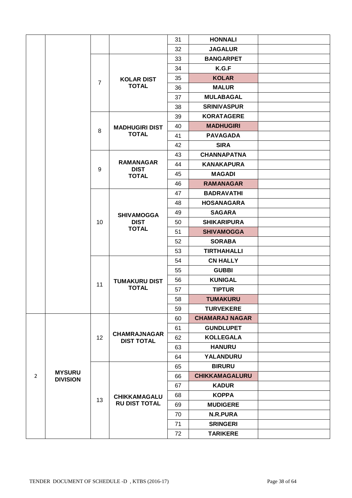|                |                 |                |                                          | 31 | <b>HONNALI</b>        |  |
|----------------|-----------------|----------------|------------------------------------------|----|-----------------------|--|
|                |                 |                |                                          | 32 | <b>JAGALUR</b>        |  |
|                |                 |                |                                          | 33 | <b>BANGARPET</b>      |  |
|                |                 |                |                                          | 34 | K.G.F                 |  |
|                |                 |                | <b>KOLAR DIST</b><br><b>TOTAL</b>        | 35 | <b>KOLAR</b>          |  |
|                |                 | $\overline{7}$ |                                          | 36 | <b>MALUR</b>          |  |
|                |                 |                |                                          | 37 | <b>MULABAGAL</b>      |  |
|                |                 |                |                                          | 38 | <b>SRINIVASPUR</b>    |  |
|                |                 |                |                                          | 39 | <b>KORATAGERE</b>     |  |
|                |                 | 8              | <b>MADHUGIRI DIST</b>                    | 40 | <b>MADHUGIRI</b>      |  |
|                |                 |                | <b>TOTAL</b>                             | 41 | <b>PAVAGADA</b>       |  |
|                |                 |                |                                          | 42 | <b>SIRA</b>           |  |
|                |                 |                |                                          | 43 | <b>CHANNAPATNA</b>    |  |
|                |                 | 9              | <b>RAMANAGAR</b><br><b>DIST</b>          | 44 | <b>KANAKAPURA</b>     |  |
|                |                 |                | <b>TOTAL</b>                             | 45 | <b>MAGADI</b>         |  |
|                |                 |                |                                          | 46 | <b>RAMANAGAR</b>      |  |
|                |                 |                |                                          | 47 | <b>BADRAVATHI</b>     |  |
|                |                 |                |                                          | 48 | <b>HOSANAGARA</b>     |  |
|                |                 |                | <b>SHIVAMOGGA</b><br><b>DIST</b>         | 49 | <b>SAGARA</b>         |  |
|                |                 | 10             |                                          | 50 | <b>SHIKARIPURA</b>    |  |
|                |                 |                | <b>TOTAL</b>                             | 51 | <b>SHIVAMOGGA</b>     |  |
|                |                 |                |                                          | 52 | <b>SORABA</b>         |  |
|                |                 |                |                                          | 53 | <b>TIRTHAHALLI</b>    |  |
|                |                 |                |                                          | 54 | <b>CN HALLY</b>       |  |
|                |                 | 11             | <b>TUMAKURU DIST</b><br><b>TOTAL</b>     | 55 | <b>GUBBI</b>          |  |
|                |                 |                |                                          | 56 | <b>KUNIGAL</b>        |  |
|                |                 |                |                                          | 57 | <b>TIPTUR</b>         |  |
|                |                 |                |                                          | 58 | <b>TUMAKURU</b>       |  |
|                |                 |                |                                          | 59 | <b>TURVEKERE</b>      |  |
|                |                 |                |                                          | 60 | <b>CHAMARAJ NAGAR</b> |  |
|                |                 |                |                                          | 61 | <b>GUNDLUPET</b>      |  |
|                |                 | 12             | <b>CHAMRAJNAGAR</b><br><b>DIST TOTAL</b> | 62 | <b>KOLLEGALA</b>      |  |
|                |                 |                |                                          | 63 | <b>HANURU</b>         |  |
|                |                 |                |                                          | 64 | YALANDURU             |  |
|                | <b>MYSURU</b>   |                |                                          | 65 | <b>BIRURU</b>         |  |
| $\overline{2}$ | <b>DIVISION</b> |                |                                          | 66 | <b>CHIKKAMAGALURU</b> |  |
|                |                 |                |                                          | 67 | <b>KADUR</b>          |  |
|                |                 | 13             | CHIKKAMAGALU                             | 68 | <b>KOPPA</b>          |  |
|                |                 |                | <b>RU DIST TOTAL</b>                     | 69 | <b>MUDIGERE</b>       |  |
|                |                 |                |                                          | 70 | <b>N.R.PURA</b>       |  |
|                |                 |                |                                          | 71 | <b>SRINGERI</b>       |  |
|                |                 |                |                                          | 72 | <b>TARIKERE</b>       |  |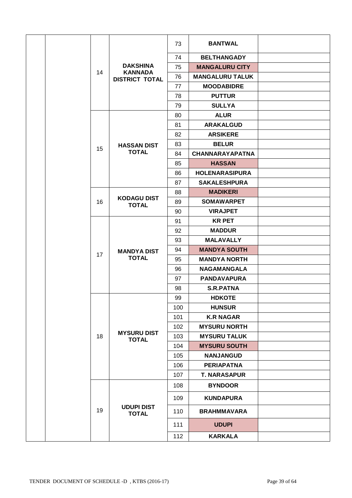|  |  |    |                                                            | 73  | <b>BANTWAL</b>         |  |
|--|--|----|------------------------------------------------------------|-----|------------------------|--|
|  |  |    |                                                            | 74  | <b>BELTHANGADY</b>     |  |
|  |  |    | <b>DAKSHINA</b><br><b>KANNADA</b><br><b>DISTRICT TOTAL</b> | 75  | <b>MANGALURU CITY</b>  |  |
|  |  | 14 |                                                            | 76  | <b>MANGALURU TALUK</b> |  |
|  |  |    |                                                            | 77  | <b>MOODABIDRE</b>      |  |
|  |  |    |                                                            | 78  | <b>PUTTUR</b>          |  |
|  |  |    |                                                            | 79  | <b>SULLYA</b>          |  |
|  |  |    |                                                            | 80  | <b>ALUR</b>            |  |
|  |  |    |                                                            | 81  | <b>ARAKALGUD</b>       |  |
|  |  |    |                                                            | 82  | <b>ARSIKERE</b>        |  |
|  |  |    | <b>HASSAN DIST</b>                                         | 83  | <b>BELUR</b>           |  |
|  |  | 15 | <b>TOTAL</b>                                               | 84  | <b>CHANNARAYAPATNA</b> |  |
|  |  |    |                                                            | 85  | <b>HASSAN</b>          |  |
|  |  |    |                                                            | 86  | <b>HOLENARASIPURA</b>  |  |
|  |  |    |                                                            | 87  | <b>SAKALESHPURA</b>    |  |
|  |  |    |                                                            | 88  | <b>MADIKERI</b>        |  |
|  |  | 16 | <b>KODAGU DIST</b><br><b>TOTAL</b>                         | 89  | <b>SOMAWARPET</b>      |  |
|  |  |    |                                                            | 90  | <b>VIRAJPET</b>        |  |
|  |  |    |                                                            | 91  | <b>KR PET</b>          |  |
|  |  |    |                                                            | 92  | <b>MADDUR</b>          |  |
|  |  |    |                                                            | 93  | <b>MALAVALLY</b>       |  |
|  |  | 17 | <b>MANDYA DIST</b><br><b>TOTAL</b>                         | 94  | <b>MANDYA SOUTH</b>    |  |
|  |  |    |                                                            | 95  | <b>MANDYA NORTH</b>    |  |
|  |  |    |                                                            | 96  | <b>NAGAMANGALA</b>     |  |
|  |  |    |                                                            | 97  | <b>PANDAVAPURA</b>     |  |
|  |  |    |                                                            | 98  | <b>S.R.PATNA</b>       |  |
|  |  |    |                                                            | 99  | <b>HDKOTE</b>          |  |
|  |  |    |                                                            | 100 | <b>HUNSUR</b>          |  |
|  |  |    |                                                            | 101 | <b>K.R NAGAR</b>       |  |
|  |  |    |                                                            | 102 | <b>MYSURU NORTH</b>    |  |
|  |  | 18 | <b>MYSURU DIST</b><br><b>TOTAL</b>                         | 103 | <b>MYSURU TALUK</b>    |  |
|  |  |    |                                                            | 104 | <b>MYSURU SOUTH</b>    |  |
|  |  |    |                                                            | 105 | <b>NANJANGUD</b>       |  |
|  |  |    |                                                            | 106 | <b>PERIAPATNA</b>      |  |
|  |  |    |                                                            | 107 | <b>T. NARASAPUR</b>    |  |
|  |  |    |                                                            | 108 | <b>BYNDOOR</b>         |  |
|  |  |    |                                                            | 109 | <b>KUNDAPURA</b>       |  |
|  |  | 19 | <b>UDUPI DIST</b><br><b>TOTAL</b>                          | 110 | <b>BRAHMMAVARA</b>     |  |
|  |  |    |                                                            | 111 | <b>UDUPI</b>           |  |
|  |  |    |                                                            | 112 | <b>KARKALA</b>         |  |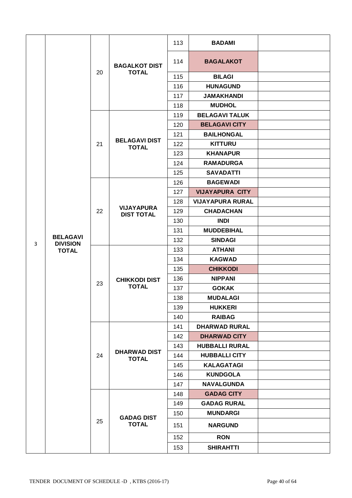|   |                                                    |    |                                        | 113 | <b>BADAMI</b>           |  |
|---|----------------------------------------------------|----|----------------------------------------|-----|-------------------------|--|
|   |                                                    |    | <b>BAGALKOT DIST</b>                   | 114 | <b>BAGALAKOT</b>        |  |
|   |                                                    | 20 | <b>TOTAL</b>                           | 115 | <b>BILAGI</b>           |  |
|   |                                                    |    |                                        | 116 | <b>HUNAGUND</b>         |  |
|   |                                                    |    |                                        | 117 | <b>JAMAKHANDI</b>       |  |
|   |                                                    |    |                                        | 118 | <b>MUDHOL</b>           |  |
|   |                                                    |    |                                        | 119 | <b>BELAGAVI TALUK</b>   |  |
|   |                                                    |    |                                        | 120 | <b>BELAGAVI CITY</b>    |  |
|   |                                                    |    |                                        | 121 | <b>BAILHONGAL</b>       |  |
|   |                                                    | 21 | <b>BELAGAVI DIST</b><br><b>TOTAL</b>   | 122 | <b>KITTURU</b>          |  |
|   |                                                    |    |                                        | 123 | <b>KHANAPUR</b>         |  |
|   |                                                    |    |                                        | 124 | <b>RAMADURGA</b>        |  |
|   |                                                    |    |                                        | 125 | <b>SAVADATTI</b>        |  |
|   |                                                    |    |                                        | 126 | <b>BAGEWADI</b>         |  |
|   |                                                    |    |                                        | 127 | <b>VIJAYAPURA CITY</b>  |  |
|   |                                                    |    |                                        | 128 | <b>VIJAYAPURA RURAL</b> |  |
|   | <b>BELAGAVI</b><br><b>DIVISION</b><br><b>TOTAL</b> | 22 | <b>VIJAYAPURA</b><br><b>DIST TOTAL</b> | 129 | <b>CHADACHAN</b>        |  |
|   |                                                    |    |                                        | 130 | <b>INDI</b>             |  |
|   |                                                    |    |                                        | 131 | <b>MUDDEBIHAL</b>       |  |
| 3 |                                                    |    |                                        | 132 | <b>SINDAGI</b>          |  |
|   |                                                    |    | <b>CHIKKODI DIST</b><br><b>TOTAL</b>   | 133 | <b>ATHANI</b>           |  |
|   |                                                    | 23 |                                        | 134 | <b>KAGWAD</b>           |  |
|   |                                                    |    |                                        | 135 | <b>CHIKKODI</b>         |  |
|   |                                                    |    |                                        | 136 | <b>NIPPANI</b>          |  |
|   |                                                    |    |                                        | 137 | <b>GOKAK</b>            |  |
|   |                                                    |    |                                        | 138 | <b>MUDALAGI</b>         |  |
|   |                                                    |    |                                        | 139 | <b>HUKKERI</b>          |  |
|   |                                                    |    |                                        | 140 | <b>RAIBAG</b>           |  |
|   |                                                    |    |                                        | 141 | <b>DHARWAD RURAL</b>    |  |
|   |                                                    |    |                                        | 142 | <b>DHARWAD CITY</b>     |  |
|   |                                                    |    |                                        | 143 | <b>HUBBALLI RURAL</b>   |  |
|   |                                                    | 24 | <b>DHARWAD DIST</b><br><b>TOTAL</b>    | 144 | <b>HUBBALLI CITY</b>    |  |
|   |                                                    |    |                                        | 145 | <b>KALAGATAGI</b>       |  |
|   |                                                    |    |                                        | 146 | <b>KUNDGOLA</b>         |  |
|   |                                                    |    |                                        | 147 | <b>NAVALGUNDA</b>       |  |
|   |                                                    |    |                                        | 148 | <b>GADAG CITY</b>       |  |
|   |                                                    |    |                                        | 149 | <b>GADAG RURAL</b>      |  |
|   |                                                    |    |                                        | 150 | <b>MUNDARGI</b>         |  |
|   |                                                    | 25 | <b>GADAG DIST</b><br><b>TOTAL</b>      | 151 | <b>NARGUND</b>          |  |
|   |                                                    |    |                                        | 152 | <b>RON</b>              |  |
|   |                                                    |    |                                        | 153 | <b>SHIRAHTTI</b>        |  |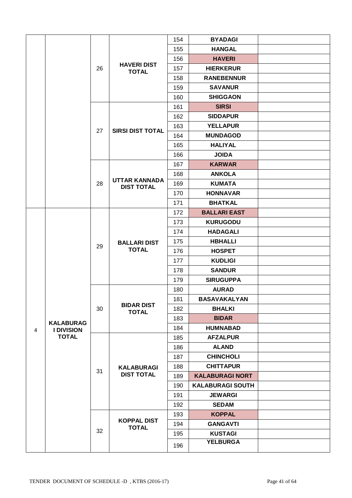|   |                   |    |                                           | 154 | <b>BYADAGI</b>          |  |
|---|-------------------|----|-------------------------------------------|-----|-------------------------|--|
|   |                   |    |                                           | 155 | <b>HANGAL</b>           |  |
|   |                   |    |                                           | 156 | <b>HAVERI</b>           |  |
|   |                   | 26 | <b>HAVERI DIST</b><br><b>TOTAL</b>        | 157 | <b>HIERKERUR</b>        |  |
|   |                   |    |                                           | 158 | <b>RANEBENNUR</b>       |  |
|   |                   |    |                                           | 159 | <b>SAVANUR</b>          |  |
|   |                   |    |                                           | 160 | <b>SHIGGAON</b>         |  |
|   |                   |    |                                           | 161 | <b>SIRSI</b>            |  |
|   |                   |    |                                           | 162 | <b>SIDDAPUR</b>         |  |
|   |                   | 27 | <b>SIRSI DIST TOTAL</b>                   | 163 | <b>YELLAPUR</b>         |  |
|   |                   |    |                                           | 164 | <b>MUNDAGOD</b>         |  |
|   |                   |    |                                           | 165 | <b>HALIYAL</b>          |  |
|   |                   |    |                                           | 166 | <b>JOIDA</b>            |  |
|   |                   |    |                                           | 167 | <b>KARWAR</b>           |  |
|   |                   |    |                                           | 168 | <b>ANKOLA</b>           |  |
|   |                   | 28 | <b>UTTAR KANNADA</b><br><b>DIST TOTAL</b> | 169 | <b>KUMATA</b>           |  |
|   |                   |    |                                           | 170 | <b>HONNAVAR</b>         |  |
|   |                   |    |                                           | 171 | <b>BHATKAL</b>          |  |
|   |                   |    |                                           | 172 | <b>BALLARI EAST</b>     |  |
|   |                   |    |                                           | 173 | <b>KURUGODU</b>         |  |
|   |                   |    |                                           | 174 | <b>HADAGALI</b>         |  |
|   |                   | 29 | <b>BALLARI DIST</b>                       | 175 | <b>HBHALLI</b>          |  |
|   |                   |    | <b>TOTAL</b>                              | 176 | <b>HOSPET</b>           |  |
|   |                   |    |                                           | 177 | <b>KUDLIGI</b>          |  |
|   |                   |    |                                           | 178 | <b>SANDUR</b>           |  |
|   |                   |    |                                           | 179 | <b>SIRUGUPPA</b>        |  |
|   |                   | 30 |                                           | 180 | <b>AURAD</b>            |  |
|   |                   |    |                                           | 181 | <b>BASAVAKALYAN</b>     |  |
|   |                   |    | <b>BIDAR DIST</b><br><b>TOTAL</b>         | 182 | <b>BHALKI</b>           |  |
|   | <b>KALABURAG</b>  |    |                                           | 183 | <b>BIDAR</b>            |  |
| 4 | <b>I DIVISION</b> |    |                                           | 184 | <b>HUMNABAD</b>         |  |
|   | <b>TOTAL</b>      |    |                                           | 185 | <b>AFZALPUR</b>         |  |
|   |                   |    |                                           | 186 | <b>ALAND</b>            |  |
|   |                   |    |                                           | 187 | <b>CHINCHOLI</b>        |  |
|   |                   | 31 | <b>KALABURAGI</b>                         | 188 | <b>CHITTAPUR</b>        |  |
|   |                   |    | <b>DIST TOTAL</b>                         | 189 | <b>KALABURAGI NORT</b>  |  |
|   |                   |    |                                           | 190 | <b>KALABURAGI SOUTH</b> |  |
|   |                   |    |                                           | 191 | <b>JEWARGI</b>          |  |
|   |                   |    |                                           | 192 | <b>SEDAM</b>            |  |
|   |                   |    | <b>KOPPAL DIST</b>                        | 193 | <b>KOPPAL</b>           |  |
|   |                   | 32 | <b>TOTAL</b>                              | 194 | <b>GANGAVTI</b>         |  |
|   |                   |    |                                           | 195 | <b>KUSTAGI</b>          |  |
|   |                   |    |                                           | 196 | <b>YELBURGA</b>         |  |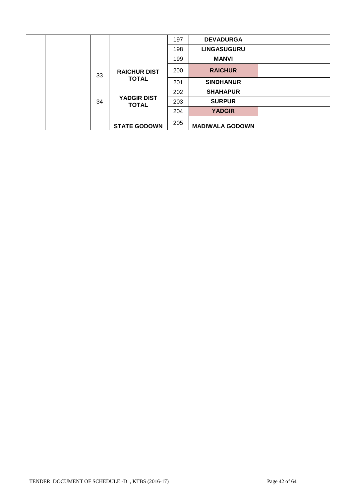|  |    |                                    | 197 | <b>DEVADURGA</b>       |  |
|--|----|------------------------------------|-----|------------------------|--|
|  |    |                                    | 198 | <b>LINGASUGURU</b>     |  |
|  |    |                                    | 199 | <b>MANVI</b>           |  |
|  | 33 | <b>RAICHUR DIST</b>                | 200 | <b>RAICHUR</b>         |  |
|  |    | <b>TOTAL</b>                       | 201 | <b>SINDHANUR</b>       |  |
|  |    |                                    | 202 | <b>SHAHAPUR</b>        |  |
|  | 34 | <b>YADGIR DIST</b><br><b>TOTAL</b> | 203 | <b>SURPUR</b>          |  |
|  |    |                                    | 204 | <b>YADGIR</b>          |  |
|  |    | <b>STATE GODOWN</b>                | 205 | <b>MADIWALA GODOWN</b> |  |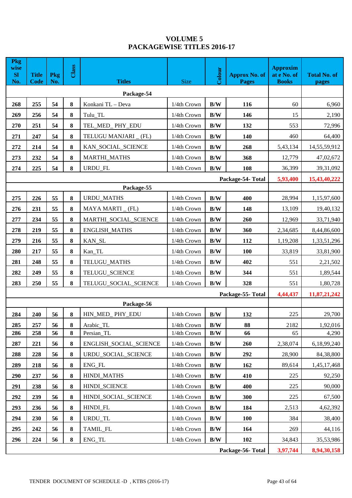# **VOLUME 5 PACKAGEWISE TITLES 2016-17**

| <b>Pkg</b><br>wise<br><b>SI</b><br>No. | <b>Title</b><br><b>Code</b> | Pkg<br>No.        | Class    | <b>Titles</b>          | <b>Size</b> | Colour<br><b>Approx No. of</b><br><b>Pages</b> |                  | <b>Approxim</b><br>at e No. of<br><b>Books</b> | <b>Total No. of</b><br>pages |
|----------------------------------------|-----------------------------|-------------------|----------|------------------------|-------------|------------------------------------------------|------------------|------------------------------------------------|------------------------------|
|                                        |                             |                   |          | Package-54             |             |                                                |                  |                                                |                              |
| 268                                    | 255                         | 54                | 8        | Konkani TL - Deva      | 1/4th Crown | B/W                                            | 116              | 60                                             | 6,960                        |
| 269                                    | 256                         | 54                | 8        | Tulu_TL                | 1/4th Crown | B/W                                            | 146              | 15                                             | 2,190                        |
| 270                                    | 251                         | 54                | 8        | TEL_MED_PHY_EDU        | 1/4th Crown | B/W                                            | 132              | 553                                            | 72,996                       |
| 271                                    | 247                         | 54                | 8        | TELUGU MANJARI _ (FL)  | 1/4th Crown | B/W                                            | 140              | 460                                            | 64,400                       |
| 272                                    | 214                         | 54                | 8        | KAN_SOCIAL_SCIENCE     | 1/4th Crown | B/W                                            | 268              | 5,43,134                                       | 14,55,59,912                 |
| 273                                    | 232                         | 54                | 8        | <b>MARTHI_MATHS</b>    | 1/4th Crown | B/W                                            | 368              | 12,779                                         | 47,02,672                    |
| 274                                    | 225                         | 54                | 8        | URDU_FL                | 1/4th Crown | B/W                                            | 108              | 36,399                                         | 39,31,092                    |
|                                        |                             | Package-54- Total | 5,93,400 | 15,43,40,222           |             |                                                |                  |                                                |                              |
|                                        |                             |                   |          | Package-55             |             |                                                |                  |                                                |                              |
| 275                                    | 226                         | 55                | $\bf{8}$ | <b>URDU_MATHS</b>      | 1/4th Crown | B/W                                            | 400              | 28,994                                         | 1,15,97,600                  |
| 276                                    | 231                         | 55                | 8        | MAYA MARTI (FL)        | 1/4th Crown | B/W                                            | 148              | 13,109                                         | 19,40,132                    |
| 277                                    | 234                         | 55                | 8        | MARTHI_SOCIAL_SCIENCE  | 1/4th Crown | B/W<br>260                                     |                  | 12,969                                         | 33,71,940                    |
| 278                                    | 219                         | 55                | 8        | ENGLISH_MATHS          | 1/4th Crown | B/W                                            | 360              | 2,34,685                                       | 8,44,86,600                  |
| 279                                    | 216                         | 55                | 8        | KAN_SL                 | 1/4th Crown | B/W                                            | 112              | 1,19,208                                       | 1,33,51,296                  |
| 280                                    | 217                         | 55                | 8        | Kan_TL                 | 1/4th Crown | B/W                                            | 100              | 33,819                                         | 33,81,900                    |
| 281                                    | 248                         | 55                | 8        | TELUGU_MATHS           | 1/4th Crown | B/W                                            | 402              | 551                                            | 2,21,502                     |
| 282                                    | 249                         | 55                | 8        | TELUGU_SCIENCE         | 1/4th Crown | B/W                                            | 344              | 551                                            | 1,89,544                     |
| 283                                    | 250                         | 55                | 8        | TELUGU_SOCIAL_SCIENCE  | 1/4th Crown | B/W                                            | 328              | 551                                            | 1,80,728                     |
|                                        |                             |                   |          |                        |             |                                                | Package-55-Total | 4,44,437                                       | 11,87,21,242                 |
|                                        |                             |                   |          | Package-56             |             |                                                |                  |                                                |                              |
| 284                                    | 240                         | 56                | 8        | HIN_MED_PHY_EDU        | 1/4th Crown | B/W                                            | 132              | 225                                            | 29,700                       |
| 285                                    | 257                         | 56                | 8        | Arabic_TL              | 1/4th Crown | $\mathbf{B}/\mathbf{W}$                        | 88               | 2182                                           | 1,92,016                     |
| 286                                    | 258                         | 56                | 8        | Persian_TL             | 1/4th Crown | B/W                                            | 66               | 65                                             | 4,290                        |
| 287                                    | 221                         | 56                | 8        | ENGLISH_SOCIAL_SCIENCE | 1/4th Crown | B/W                                            | 260              | 2,38,074                                       | 6,18,99,240                  |
| 288                                    | 228                         | 56                | 8        | URDU_SOCIAL_SCIENCE    | 1/4th Crown | B/W                                            | 292              | 28,900                                         | 84,38,800                    |
| 289                                    | 218                         | 56                | 8        | ENG_FL                 | 1/4th Crown | B/W                                            | 162              | 89,614                                         | 1,45,17,468                  |
| 290                                    | 237                         | 56                | 8        | <b>HINDI_MATHS</b>     | 1/4th Crown | B/W                                            | 410              | 225                                            | 92,250                       |
| 291                                    | 238                         | 56                | 8        | HINDI_SCIENCE          | 1/4th Crown | B/W                                            | 400              | 225                                            | 90,000                       |
| 292                                    | 239                         | 56                | 8        | HINDI_SOCIAL_SCIENCE   | 1/4th Crown | B/W                                            | 300              | 225                                            | 67,500                       |
| 293                                    | 236                         | 56                | 8        | HINDI_FL               | 1/4th Crown | B/W                                            | 184              | 2,513                                          | 4,62,392                     |
| 294                                    | 230                         | 56                | 8        | URDU_TL                | 1/4th Crown | B/W                                            | <b>100</b>       | 384                                            | 38,400                       |
| 295                                    | 242                         | 56                | 8        | TAMIL_FL               | 1/4th Crown | B/W                                            | 164              | 269                                            | 44,116                       |
| 296                                    | 224                         | 56                | 8        | ENG_TL                 | 1/4th Crown | $\mathbf{B}/\mathbf{W}$                        | 102              | 34,843                                         | 35,53,986                    |
|                                        |                             |                   |          |                        |             |                                                | Package-56-Total | 3,97,744                                       | 8,94,30,158                  |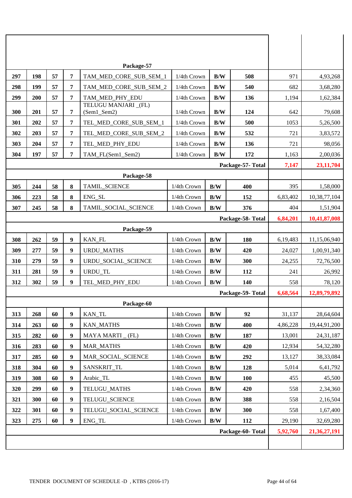|     |     |    |   | Package-57                                          |             |                         |                   |          |              |
|-----|-----|----|---|-----------------------------------------------------|-------------|-------------------------|-------------------|----------|--------------|
| 297 | 198 | 57 | 7 | TAM_MED_CORE_SUB_SEM_1                              | 1/4th Crown | B/W                     | 508               | 971      | 4,93,268     |
| 298 | 199 | 57 | 7 | TAM_MED_CORE_SUB_SEM_2<br>1/4th Crown<br>B/W<br>540 |             |                         |                   | 682      | 3,68,280     |
| 299 | 200 | 57 | 7 | TAM_MED_PHY_EDU                                     | 1/4th Crown | B/W                     | 136               | 1,194    | 1,62,384     |
| 300 | 201 | 57 | 7 | TELUGU MANJARI _(FL)<br>(Sem1_Sem2)                 | 1/4th Crown | B/W                     | 124               | 642      | 79,608       |
| 301 | 202 | 57 | 7 | TEL_MED_CORE_SUB_SEM_1                              | 1/4th Crown | B/W                     | 500               | 1053     | 5,26,500     |
| 302 | 203 | 57 | 7 | TEL_MED_CORE_SUB_SEM_2                              | 1/4th Crown | B/W                     | 532               | 721      | 3,83,572     |
| 303 | 204 | 57 | 7 | TEL_MED_PHY_EDU                                     | 1/4th Crown | B/W                     | 136               | 721      | 98,056       |
| 304 | 197 | 57 | 7 | TAM_FL(Sem1_Sem2)                                   | 1/4th Crown | B/W                     | 172               | 1,163    | 2,00,036     |
|     |     |    |   |                                                     |             |                         | Package-57- Total | 7,147    | 23, 11, 704  |
|     |     |    |   | Package-58                                          |             |                         |                   |          |              |
| 305 | 244 | 58 | 8 | TAMIL_SCIENCE                                       | 1/4th Crown | B/W                     | 400               | 395      | 1,58,000     |
| 306 | 223 | 58 | 8 | ENG_SL                                              | 1/4th Crown | B/W                     | 152               | 6,83,402 | 10,38,77,104 |
| 307 | 245 | 58 | 8 | TAMIL_SOCIAL_SCIENCE                                | 1/4th Crown | B/W                     | 376               | 404      | 1,51,904     |
|     |     |    |   |                                                     |             |                         | Package-58-Total  | 6,84,201 | 10,41,87,008 |
|     |     |    |   | Package-59                                          |             |                         |                   |          |              |
| 308 | 262 | 59 | 9 | KAN_FL                                              | 1/4th Crown | B/W                     | 180               | 6,19,483 | 11,15,06,940 |
| 309 | 277 | 59 | 9 | <b>URDU_MATHS</b>                                   | 1/4th Crown | B/W                     | 420               | 24,027   | 1,00,91,340  |
| 310 | 279 | 59 | 9 | URDU SOCIAL SCIENCE                                 | 1/4th Crown | B/W                     | 300               | 24,255   | 72,76,500    |
| 311 | 281 | 59 | 9 | URDU_TL                                             | 1/4th Crown | B/W                     | 112               | 241      | 26,992       |
| 312 | 302 | 59 | 9 | TEL MED PHY EDU                                     | 1/4th Crown | B/W                     | 140               | 558      | 78,120       |
|     |     |    |   |                                                     |             |                         | Package-59-Total  | 6,68,564 | 12,89,79,892 |
|     |     |    |   | Package-60                                          |             |                         |                   |          |              |
| 313 | 268 | 60 | 9 | KAN_TL                                              | 1/4th Crown | B/W                     | 92                | 31,137   | 28,64,604    |
| 314 | 263 | 60 | 9 | <b>KAN_MATHS</b>                                    | 1/4th Crown | B/W                     | 400               | 4,86,228 | 19,44,91,200 |
| 315 | 282 | 60 | 9 | MAYA MARTI (FL)                                     | 1/4th Crown | B/W                     | 187               | 13,001   | 24, 31, 187  |
| 316 | 283 | 60 | 9 | <b>MAR_MATHS</b>                                    | 1/4th Crown | $\mathbf{B}/\mathbf{W}$ | 420               | 12,934   | 54,32,280    |
| 317 | 285 | 60 | 9 | MAR_SOCIAL_SCIENCE                                  | 1/4th Crown | B/W                     | 292               | 13,127   | 38,33,084    |
| 318 | 304 | 60 | 9 | SANSKRIT_TL                                         | 1/4th Crown | B/W                     | 128               | 5,014    | 6,41,792     |
| 319 | 308 | 60 | 9 | Arabic_TL                                           | 1/4th Crown | B/W                     | 100               | 455      | 45,500       |
| 320 | 299 | 60 | 9 | TELUGU_MATHS                                        | 1/4th Crown | B/W                     | 420               | 558      | 2,34,360     |
| 321 | 300 | 60 | 9 | TELUGU_SCIENCE                                      | 1/4th Crown | B/W                     | 388               | 558      | 2,16,504     |
| 322 | 301 | 60 | 9 | TELUGU_SOCIAL_SCIENCE                               | 1/4th Crown | B/W                     | 300               | 558      | 1,67,400     |
| 323 | 275 | 60 | 9 | ENG_TL                                              | 1/4th Crown | B/W                     | 112               | 29,190   | 32,69,280    |
|     |     |    |   |                                                     |             |                         | Package-60-Total  | 5,92,760 | 21,36,27,191 |
|     |     |    |   |                                                     |             |                         |                   |          |              |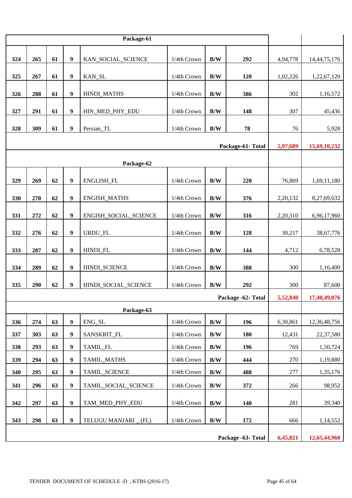| 324                | 265 | 61       | $\boldsymbol{9}$ | KAN_SOCIAL_SCIENCE    | 1/4th Crown | B/W                     | 292                | 4,94,778 | 14,44,75,176 |
|--------------------|-----|----------|------------------|-----------------------|-------------|-------------------------|--------------------|----------|--------------|
| 325                | 267 | 61       | 9                | KAN_SL                | 1/4th Crown | B/W                     | 120                | 1,02,226 | 1,22,67,120  |
| 326                | 288 | 61       | $\boldsymbol{9}$ | <b>HINDI MATHS</b>    | 1/4th Crown | B/W                     | 386                | 302      | 1,16,572     |
| 327                | 291 | 61       | 9                | HIN_MED_PHY_EDU       | 1/4th Crown | B/W                     | 148                | 307      | 45,436       |
| 328                | 309 | 61       | $\boldsymbol{9}$ | Persian_TL            | 1/4th Crown | B/W                     | 78                 | 76       | 5,928        |
|                    |     | 5,97,689 | 15,69,10,232     |                       |             |                         |                    |          |              |
|                    |     |          |                  | Package-62            |             |                         |                    |          |              |
| 329                | 269 | 62       | $\boldsymbol{9}$ | ENGLISH_FL            | 1/4th Crown | B/W                     | 220                | 76,869   | 1,69,11,180  |
|                    |     |          |                  |                       |             |                         |                    |          |              |
| 330                | 270 | 62       | $\boldsymbol{9}$ | <b>ENGISH_MATHS</b>   | 1/4th Crown | $\mathbf{B}/\mathbf{W}$ | 376                | 2,20,132 | 8,27,69,632  |
| 331                | 272 | 62       | $\boldsymbol{9}$ | ENGISH_SOCIAL_SCIENCE | 1/4th Crown | B/W                     | 316                | 2,20,310 | 6,96,17,960  |
| 332                | 276 | 62       | 9                | URDU_FL               | 1/4th Crown | B/W                     | 128                | 30,217   | 38,67,776    |
| 333                | 287 | 62       | $\boldsymbol{9}$ | HINDI_FL              | 1/4th Crown | B/W                     | 144                | 4,712    | 6,78,528     |
| 334                | 289 | 62       | $\boldsymbol{9}$ | HINDI_SCIENCE         | 1/4th Crown | B/W                     | 388                | 300      | 1,16,400     |
| 335                | 290 | 62       | $\boldsymbol{9}$ | HINDI_SOCIAL_SCIENCE  | 1/4th Crown | B/W                     | 292                | 300      | 87,600       |
|                    |     |          |                  |                       |             |                         | Package -62- Total | 5,52,840 | 17,40,49,076 |
|                    |     |          |                  | Package-63            |             |                         |                    |          |              |
| 336                | 274 | 63       | $\boldsymbol{9}$ | ENG_SL                | 1/4th Crown | B/W                     | 196                | 6,30,861 | 12,36,48,756 |
| 337                | 303 | 63       | 9                | SANSKRIT_FL           | 1/4th Crown | B/W                     | 180                | 12,431   | 22,37,580    |
| 338                | 293 | 63       | $\boldsymbol{9}$ | TAMIL_FL              | 1/4th Crown | $\mathbf{B}/\mathbf{W}$ | 196                | 769      | 1,50,724     |
| 339                | 294 | 63       | $\boldsymbol{9}$ | TAMIL_MATHS           | 1/4th Crown | B/W                     | 444                | 270      | 1,19,880     |
| 340                | 295 | 63       | $\boldsymbol{9}$ | TAMIL SCIENCE         | 1/4th Crown | B/W                     | 488                | 277      | 1,35,176     |
| 341                | 296 | 63       | 9                | TAMIL_SOCIAL_SCIENCE  | 1/4th Crown | B/W                     | 372                | 266      | 98,952       |
| 342                | 297 | 63       | $\boldsymbol{9}$ | TAM_MED_PHY_EDU       | 1/4th Crown | B/W                     | 140                | 281      | 39,340       |
| 343                | 298 | 63       | $\boldsymbol{9}$ | TELUGU MANJARI _ (FL) | 1/4th Crown | B/W                     | 172                | 666      | 1,14,552     |
| Package -63- Total |     |          |                  |                       |             |                         |                    |          | 12,65,44,960 |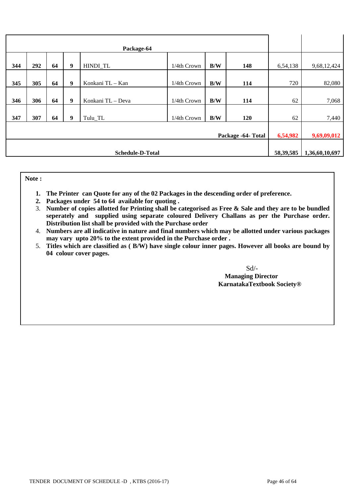| 344                     | 292                | 64 | $\boldsymbol{9}$ | HINDI_TL          | 1/4th Crown | B/W | 148 | 6,54,138    | 9,68,12,424    |
|-------------------------|--------------------|----|------------------|-------------------|-------------|-----|-----|-------------|----------------|
| 345                     | 305                | 64 | $\boldsymbol{9}$ | Konkani TL - Kan  | 1/4th Crown | B/W | 114 | 720         | 82,080         |
| 346                     | 306                | 64 | 9                | Konkani TL - Deva | 1/4th Crown | B/W | 114 | 62          | 7,068          |
| 347                     | 307                | 64 | $\boldsymbol{9}$ | Tulu_TL           | 1/4th Crown | B/W | 120 | 62          | 7,440          |
|                         | Package -64- Total |    |                  |                   |             |     |     |             | 9,69,09,012    |
| <b>Schedule-D-Total</b> |                    |    |                  |                   |             |     |     | 58, 39, 585 | 1,36,60,10,697 |

**Note :** 

- **1. The Printer can Quote for any of the 02 Packages in the descending order of preference.**
- **2.** Packages under 54 to 64 available for quoting .
- 3. Number of copies allotted for Printing shall be categorised as Free & Sale and they are to be bundled seperately and supplied using separate coloured Delivery Challans as per the Purchase order. **Distribution list shall be provided with the Purchase order**
- 4. Numbers are all indicative in nature and final numbers which may be allotted under various packages may vary upto 20% to the extent provided in the Purchase order .
- itles which are classified as (B/W) have single colour inner nages. However **6. The classified are classified as ( B/W) have single colour inner pages.** However all books are  $\frac{1}{2}$  books are  $\frac{1}{2}$  books are  $\frac{1}{2}$  books are  $\frac{1}{2}$  books are  $\frac{1}{2}$  books are  $\frac{1}{2}$  books are  $\frac$ **b**  $\mathbf{P}$ 5. **Titles which are classified as ( B/W) have single colour inner pages. However all books are bound by 04 colour cover pages.**

Sd/-

 **Managing Director KarnatakaTextbook Society® EXECUTIVE SOCIETY Managing Director**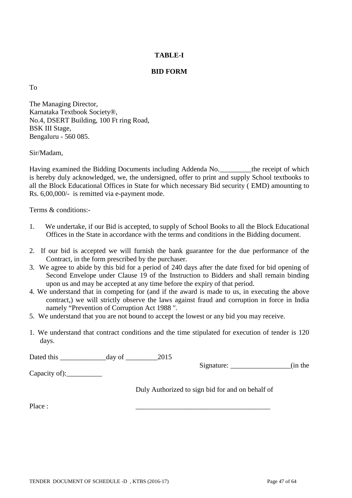# **TABLE-I**

# **BID FORM**

To

The Managing Director, Karnataka Textbook Society®, No.4, DSERT Building, 100 Ft ring Road, BSK III Stage, Bengaluru - 560 085.

Sir/Madam,

Having examined the Bidding Documents including Addenda No.\_\_\_\_\_\_\_\_\_the receipt of which is hereby duly acknowledged, we, the undersigned, offer to print and supply School textbooks to all the Block Educational Offices in State for which necessary Bid security ( EMD) amounting to Rs. 6,00,000/- is remitted via e-payment mode.

Terms & conditions:-

- 1. We undertake, if our Bid is accepted, to supply of School Books to all the Block Educational Offices in the State in accordance with the terms and conditions in the Bidding document.
- 2. If our bid is accepted we will furnish the bank guarantee for the due performance of the Contract, in the form prescribed by the purchaser.
- 3. We agree to abide by this bid for a period of 240 days after the date fixed for bid opening of Second Envelope under Clause 19 of the Instruction to Bidders and shall remain binding upon us and may be accepted at any time before the expiry of that period.
- 4. We understand that in competing for (and if the award is made to us, in executing the above contract,) we will strictly observe the laws against fraud and corruption in force in India namely "Prevention of Corruption Act 1988 ".
- 5. We understand that you are not bound to accept the lowest or any bid you may receive.
- 1. We understand that contract conditions and the time stipulated for execution of tender is 120 days.

Dated this \_\_\_\_\_\_\_\_\_\_\_\_\_day of \_\_\_\_\_\_\_\_\_2015

Capacity of):

Signature: \_\_\_\_\_\_\_\_\_\_\_\_\_\_\_\_\_\_\_(in the

Duly Authorized to sign bid for and on behalf of

Place : \_\_\_\_\_\_\_\_\_\_\_\_\_\_\_\_\_\_\_\_\_\_\_\_\_\_\_\_\_\_\_\_\_\_\_\_\_\_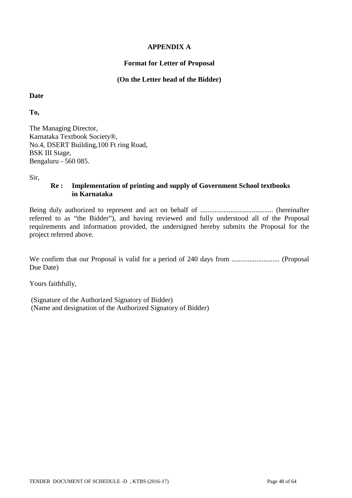# **APPENDIX A**

### **Format for Letter of Proposal**

### **(On the Letter head of the Bidder)**

**Date**

**To,**

The Managing Director, Karnataka Textbook Society®, No.4, DSERT Building,100 Ft ring Road, BSK III Stage, Bengaluru - 560 085.

Sir,

# **Re : Implementation of printing and supply of Government School textbooks in Karnataka**

Being duly authorized to represent and act on behalf of ......................................... (hereinafter referred to as "the Bidder"), and having reviewed and fully understood all of the Proposal requirements and information provided, the undersigned hereby submits the Proposal for the project referred above.

We confirm that our Proposal is valid for a period of 240 days from ........................... (Proposal Due Date)

Yours faithfully,

(Signature of the Authorized Signatory of Bidder) (Name and designation of the Authorized Signatory of Bidder)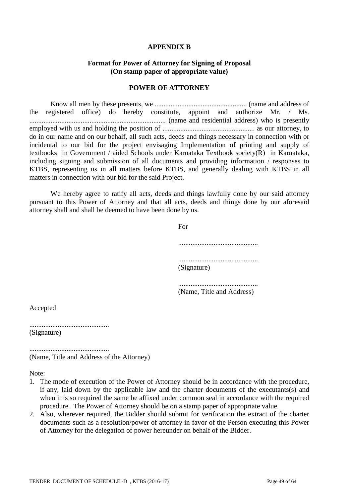#### **APPENDIX B**

#### **Format for Power of Attorney for Signing of Proposal (On stamp paper of appropriate value)**

#### **POWER OF ATTORNEY**

Know all men by these presents, we .................................................... (name and address of the registered office) do hereby constitute, appoint and authorize Mr. / Ms. ............................................................................. (name and residential address) who is presently employed with us and holding the position of .................................................... as our attorney, to do in our name and on our behalf, all such acts, deeds and things necessary in connection with or incidental to our bid for the project envisaging Implementation of printing and supply of textbooks in Government / aided Schools under Karnataka Textbook society(R) in Karnataka, including signing and submission of all documents and providing information / responses to KTBS, representing us in all matters before KTBS, and generally dealing with KTBS in all matters in connection with our bid for the said Project.

We hereby agree to ratify all acts, deeds and things lawfully done by our said attorney pursuant to this Power of Attorney and that all acts, deeds and things done by our aforesaid attorney shall and shall be deemed to have been done by us.

For

............................................. ............................................. (Signature)

............................................. (Name, Title and Address)

Accepted

............................................. (Signature)

............................................. (Name, Title and Address of the Attorney)

Note:

- 1. The mode of execution of the Power of Attorney should be in accordance with the procedure, if any, laid down by the applicable law and the charter documents of the executants(s) and when it is so required the same be affixed under common seal in accordance with the required procedure. The Power of Attorney should be on a stamp paper of appropriate value.
- 2. Also, wherever required, the Bidder should submit for verification the extract of the charter documents such as a resolution/power of attorney in favor of the Person executing this Power of Attorney for the delegation of power hereunder on behalf of the Bidder.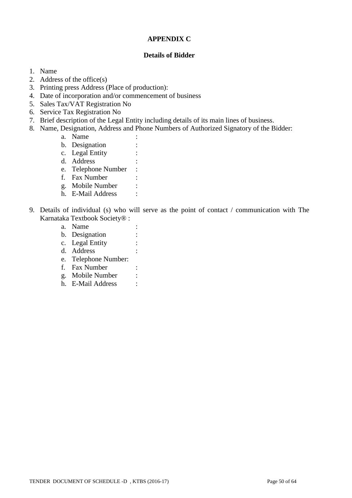# **APPENDIX C**

### **Details of Bidder**

- 1. Name
- 2. Address of the office(s)
- 3. Printing press Address (Place of production):
- 4. Date of incorporation and/or commencement of business
- 5. Sales Tax/VAT Registration No
- 6. Service Tax Registration No
- 7. Brief description of the Legal Entity including details of its main lines of business.
- 8. Name, Designation, Address and Phone Numbers of Authorized Signatory of the Bidder:
	- a. Name
	- b. Designation :
	- c. Legal Entity :
	- d. Address
	- e. Telephone Number :
	- f. Fax Number :
	- g. Mobile Number :
	- h. E-Mail Address :
- 9. Details of individual (s) who will serve as the point of contact / communication with The Karnataka Textbook Society® :
	- a. Name :
	- b. Designation :
	- c. Legal Entity :
	- d. Address :
	- e. Telephone Number:
	- f. Fax Number :
	- g. Mobile Number :
	- h. E-Mail Address :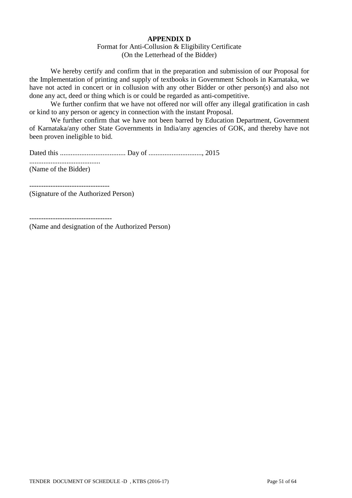# **APPENDIX D**

#### Format for Anti-Collusion & Eligibility Certificate (On the Letterhead of the Bidder)

We hereby certify and confirm that in the preparation and submission of our Proposal for the Implementation of printing and supply of textbooks in Government Schools in Karnataka, we have not acted in concert or in collusion with any other Bidder or other person(s) and also not done any act, deed or thing which is or could be regarded as anti-competitive.

We further confirm that we have not offered nor will offer any illegal gratification in cash or kind to any person or agency in connection with the instant Proposal.

We further confirm that we have not been barred by Education Department, Government of Karnataka/any other State Governments in India/any agencies of GOK, and thereby have not been proven ineligible to bid.

Dated this ..................................... Day of .............................., 2015 ........................................

(Name of the Bidder)

(Signature of the Authorized Person)

-----------------------------------

(Name and designation of the Authorized Person)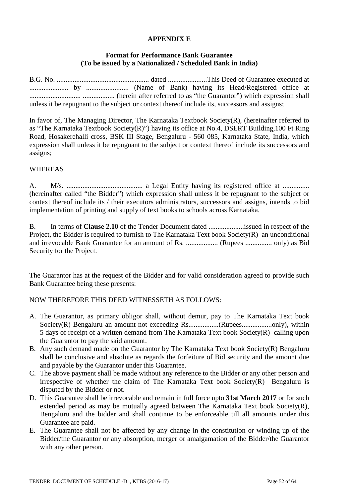# **APPENDIX E**

### **Format for Performance Bank Guarantee (To be issued by a Nationalized / Scheduled Bank in India)**

|  |  |  |  |  |  | unless it be repugnant to the subject or context thereof include its, successors and assigns; |  |  |
|--|--|--|--|--|--|-----------------------------------------------------------------------------------------------|--|--|

In favor of, The Managing Director, The Karnataka Textbook Society(R), (hereinafter referred to as "The Karnataka Textbook Society(R)") having its office at No.4, DSERT Building,100 Ft Ring Road, Hosakerehalli cross, BSK III Stage, Bengaluru - 560 085, Karnataka State, India, which expression shall unless it be repugnant to the subject or context thereof include its successors and assigns;

#### WHEREAS

A. M/s. ........................................... a Legal Entity having its registered office at ............... (hereinafter called "the Bidder") which expression shall unless it be repugnant to the subject or context thereof include its / their executors administrators, successors and assigns, intends to bid implementation of printing and supply of text books to schools across Karnataka.

B. In terms of **Clause 2.10** of the Tender Document dated ....................issued in respect of the Project, the Bidder is required to furnish to The Karnataka Text book Society(R) an unconditional and irrevocable Bank Guarantee for an amount of Rs. .................. (Rupees ............... only) as Bid Security for the Project.

The Guarantor has at the request of the Bidder and for valid consideration agreed to provide such Bank Guarantee being these presents:

#### NOW THEREFORE THIS DEED WITNESSETH AS FOLLOWS:

- A. The Guarantor, as primary obligor shall, without demur, pay to The Karnataka Text book Society(R) Bengaluru an amount not exceeding Rs..................(Rupees......................only), within 5 days of receipt of a written demand from The Karnataka Text book Society(R) calling upon the Guarantor to pay the said amount.
- B. Any such demand made on the Guarantor by The Karnataka Text book Society(R) Bengaluru shall be conclusive and absolute as regards the forfeiture of Bid security and the amount due and payable by the Guarantor under this Guarantee.
- C. The above payment shall be made without any reference to the Bidder or any other person and irrespective of whether the claim of The Karnataka Text book Society(R) Bengaluru is disputed by the Bidder or not.
- D. This Guarantee shall be irrevocable and remain in full force upto **31st March 2017** or for such extended period as may be mutually agreed between The Karnataka Text book Society(R), Bengaluru and the bidder and shall continue to be enforceable till all amounts under this Guarantee are paid.
- E. The Guarantee shall not be affected by any change in the constitution or winding up of the Bidder/the Guarantor or any absorption, merger or amalgamation of the Bidder/the Guarantor with any other person.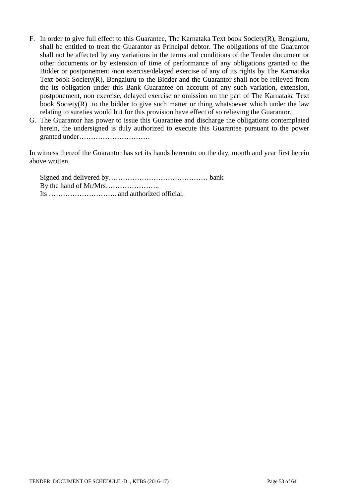- F. In order to give full effect to this Guarantee, The Karnataka Text book Society(R), Bengaluru, shall be entitled to treat the Guarantor as Principal debtor. The obligations of the Guarantor shall not be affected by any variations in the terms and conditions of the Tender document or other documents or by extension of time of performance of any obligations granted to the Bidder or postponement /non exercise/delayed exercise of any of its rights by The Karnataka Text book Society(R), Bengaluru to the Bidder and the Guarantor shall not be relieved from the its obligation under this Bank Guarantee on account of any such variation, extension, postponement, non exercise, delayed exercise or omission on the part of The Karnataka Text book Society(R) to the bidder to give such matter or thing whatsoever which under the law relating to sureties would but for this provision have effect of so relieving the Guarantor.
- G. The Guarantor has power to issue this Guarantee and discharge the obligations contemplated herein, the undersigned is duly authorized to execute this Guarantee pursuant to the power granted under…………………………

In witness thereof the Guarantor has set its hands hereunto on the day, month and year first herein above written.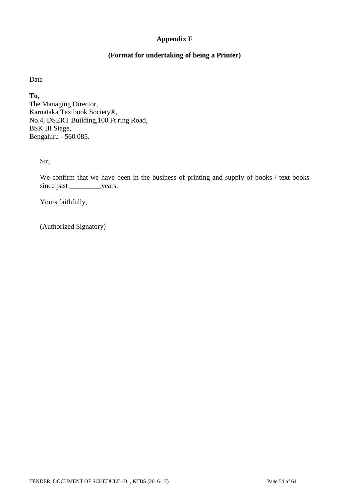# **Appendix F**

# **(Format for undertaking of being a Printer)**

Date

**To,** The Managing Director, Karnataka Textbook Society®, No.4, DSERT Building,100 Ft ring Road, BSK III Stage, Bengaluru - 560 085.

Sir,

We confirm that we have been in the business of printing and supply of books / text books since past \_\_\_\_\_\_\_\_\_\_\_\_years.

Yours faithfully,

(Authorized Signatory)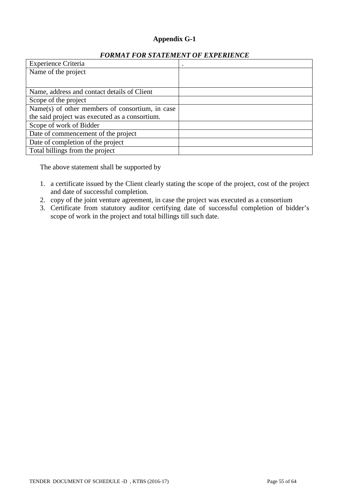# **Appendix G-1**

| <b>Experience Criteria</b>                      |  |
|-------------------------------------------------|--|
| Name of the project                             |  |
|                                                 |  |
| Name, address and contact details of Client     |  |
| Scope of the project                            |  |
| Name(s) of other members of consortium, in case |  |
| the said project was executed as a consortium.  |  |
| Scope of work of Bidder                         |  |
| Date of commencement of the project             |  |
| Date of completion of the project               |  |
| Total billings from the project                 |  |

The above statement shall be supported by

- 1. a certificate issued by the Client clearly stating the scope of the project, cost of the project and date of successful completion.
- 2. copy of the joint venture agreement, in case the project was executed as a consortium
- 3. Certificate from statutory auditor certifying date of successful completion of bidder's scope of work in the project and total billings till such date.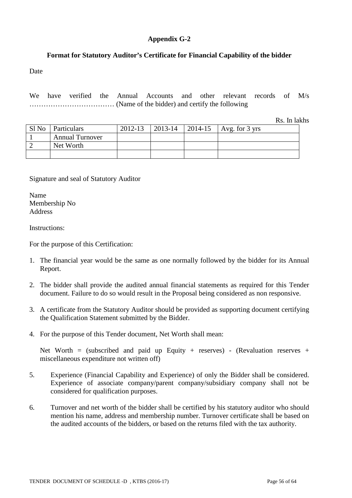# **Appendix G-2**

# **Format for Statutory Auditor's Certificate for Financial Capability of the bidder**

Date

We have verified the Annual Accounts and other relevant records of M/s ……………………………… (Name of the bidder) and certify the following

Rs. In lakhs

|       |                        |         |         |            | $\sim$                   |
|-------|------------------------|---------|---------|------------|--------------------------|
| Sl No | Particulars            | 2012-13 | 2013-14 | $ 2014-15$ | Avg. for $3 \text{ yrs}$ |
|       | <b>Annual Turnover</b> |         |         |            |                          |
|       | Net Worth              |         |         |            |                          |
|       |                        |         |         |            |                          |

# Signature and seal of Statutory Auditor

Name Membership No Address

Instructions:

For the purpose of this Certification:

- 1. The financial year would be the same as one normally followed by the bidder for its Annual Report.
- 2. The bidder shall provide the audited annual financial statements as required for this Tender document. Failure to do so would result in the Proposal being considered as non responsive.
- 3. A certificate from the Statutory Auditor should be provided as supporting document certifying the Qualification Statement submitted by the Bidder.
- 4. For the purpose of this Tender document, Net Worth shall mean:

Net Worth = (subscribed and paid up Equity + reserves) - (Revaluation reserves + miscellaneous expenditure not written off)

- 5. Experience (Financial Capability and Experience) of only the Bidder shall be considered. Experience of associate company/parent company/subsidiary company shall not be considered for qualification purposes.
- 6. Turnover and net worth of the bidder shall be certified by his statutory auditor who should mention his name, address and membership number. Turnover certificate shall be based on the audited accounts of the bidders, or based on the returns filed with the tax authority.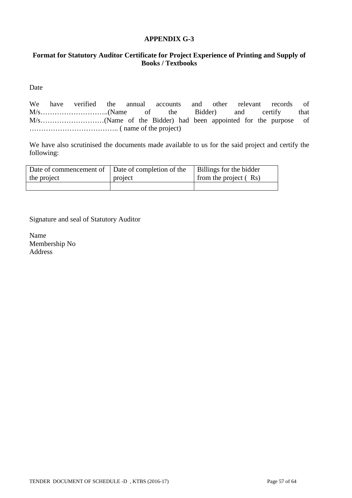### **APPENDIX G-3**

# **Format for Statutory Auditor Certificate for Project Experience of Printing and Supply of Books / Textbooks**

Date

We have verified the annual accounts and other relevant records of M/s………………………..(Name of the Bidder) and certify that M/s………………………(Name of the Bidder) had been appointed for the purpose of ……………………………….. ( name of the project)

We have also scrutinised the documents made available to us for the said project and certify the following:

| Date of commencement of   Date of completion of the |         | Billings for the bidder |
|-----------------------------------------------------|---------|-------------------------|
| the project                                         | project | from the project $(Rs)$ |
|                                                     |         |                         |

Signature and seal of Statutory Auditor

Name Membership No Address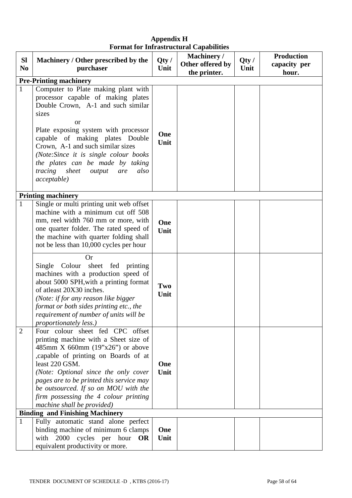| <b>SI</b><br>N <sub>0</sub> | Machinery / Other prescribed by the<br>purchaser                                                                                                                                                                                                                                                                                                                                                | Qty/<br>Unit | <b>Machinery</b> /<br>Other offered by<br>the printer. | Qty/<br>Unit | <b>Production</b><br>capacity per<br>hour. |  |
|-----------------------------|-------------------------------------------------------------------------------------------------------------------------------------------------------------------------------------------------------------------------------------------------------------------------------------------------------------------------------------------------------------------------------------------------|--------------|--------------------------------------------------------|--------------|--------------------------------------------|--|
|                             | <b>Pre-Printing machinery</b>                                                                                                                                                                                                                                                                                                                                                                   |              |                                                        |              |                                            |  |
| $\mathbf{1}$                | Computer to Plate making plant with<br>processor capable of making plates<br>Double Crown, A-1 and such similar<br>sizes<br><sub>or</sub><br>Plate exposing system with processor<br>capable of making plates Double<br>Crown, A-1 and such similar sizes<br>(Note:Since it is single colour books<br>the plates can be made by taking<br>tracing sheet<br>also<br>output<br>are<br>acceptable) | One<br>Unit  |                                                        |              |                                            |  |
| $\mathbf{1}$                | <b>Printing machinery</b><br>Single or multi printing unit web offset<br>machine with a minimum cut off 508<br>mm, reel width 760 mm or more, with<br>one quarter folder. The rated speed of<br>the machine with quarter folding shall<br>not be less than 10,000 cycles per hour                                                                                                               | One<br>Unit  |                                                        |              |                                            |  |
|                             | <b>Or</b><br>Single Colour sheet fed printing<br>machines with a production speed of<br>about 5000 SPH, with a printing format<br>of atleast 20X30 inches.<br>(Note: if for any reason like bigger<br>format or both sides printing etc., the<br>requirement of number of units will be<br><i>proportionately less.)</i>                                                                        | Two<br>Unit  |                                                        |              |                                            |  |
| $\overline{2}$              | Four colour sheet fed CPC offset<br>printing machine with a Sheet size of<br>485mm X 660mm $(19"x26")$ or above<br>,capable of printing on Boards of at<br>least 220 GSM.<br>(Note: Optional since the only cover<br>pages are to be printed this service may<br>be outsourced. If so on MOU with the<br>firm possessing the 4 colour printing<br>machine shall be provided)                    | One<br>Unit  |                                                        |              |                                            |  |
|                             | <b>Binding and Finishing Machinery</b>                                                                                                                                                                                                                                                                                                                                                          |              |                                                        |              |                                            |  |
| $\mathbf{1}$                | Fully automatic stand alone perfect<br>binding machine of minimum 6 clamps<br>with 2000<br>cycles per hour $OR$<br>equivalent productivity or more.                                                                                                                                                                                                                                             | One<br>Unit  |                                                        |              |                                            |  |

# **Appendix H Format for Infrastructural Capabilities**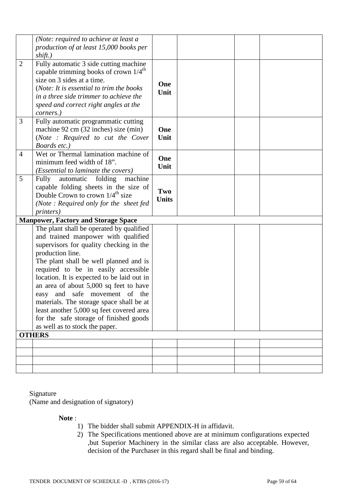|                | (Note: required to achieve at least a<br>production of at least 15,000 books per                                                                                                                                                                                                                                                                                                                                                                                                                                                              |                     |  |  |
|----------------|-----------------------------------------------------------------------------------------------------------------------------------------------------------------------------------------------------------------------------------------------------------------------------------------------------------------------------------------------------------------------------------------------------------------------------------------------------------------------------------------------------------------------------------------------|---------------------|--|--|
|                | shift.)                                                                                                                                                                                                                                                                                                                                                                                                                                                                                                                                       |                     |  |  |
| $\overline{2}$ | Fully automatic 3 side cutting machine<br>capable trimming books of crown $1/4^{\text{th}}$<br>size on 3 sides at a time.<br>(Note: It is essential to trim the books<br>in a three side trimmer to achieve the<br>speed and correct right angles at the<br>corners.)                                                                                                                                                                                                                                                                         | One<br>Unit         |  |  |
| 3              | Fully automatic programmatic cutting<br>machine 92 cm (32 inches) size (min)<br>(Note : Required to cut the Cover<br>Boards etc.)                                                                                                                                                                                                                                                                                                                                                                                                             | One<br>Unit         |  |  |
| $\overline{4}$ | Wet or Thermal lamination machine of<br>minimum feed width of 18".<br>( <i>Essetntial to laminate the covers</i> )                                                                                                                                                                                                                                                                                                                                                                                                                            | One<br>Unit         |  |  |
| 5              | Fully<br>folding<br>machine<br>automatic<br>capable folding sheets in the size of<br>Double Crown to crown 1/4 <sup>th</sup> size<br>(Note: Required only for the sheet fed<br><i>printers</i> )                                                                                                                                                                                                                                                                                                                                              | Two<br><b>Units</b> |  |  |
|                | <b>Manpower, Factory and Storage Space</b>                                                                                                                                                                                                                                                                                                                                                                                                                                                                                                    |                     |  |  |
|                | The plant shall be operated by qualified<br>and trained manpower with qualified<br>supervisors for quality checking in the<br>production line.<br>The plant shall be well planned and is<br>required to be in easily accessible<br>location. It is expected to be laid out in<br>an area of about 5,000 sq feet to have<br>easy and safe movement of the<br>materials. The storage space shall be at<br>least another 5,000 sq feet covered area<br>for the safe storage of finished goods<br>as well as to stock the paper.<br><b>OTHERS</b> |                     |  |  |
|                |                                                                                                                                                                                                                                                                                                                                                                                                                                                                                                                                               |                     |  |  |
|                |                                                                                                                                                                                                                                                                                                                                                                                                                                                                                                                                               |                     |  |  |
|                |                                                                                                                                                                                                                                                                                                                                                                                                                                                                                                                                               |                     |  |  |
|                |                                                                                                                                                                                                                                                                                                                                                                                                                                                                                                                                               |                     |  |  |
|                |                                                                                                                                                                                                                                                                                                                                                                                                                                                                                                                                               |                     |  |  |

# Signature

(Name and designation of signatory)

**Note** :

- 1) The bidder shall submit APPENDIX-H in affidavit.
- 2) The Specifications mentioned above are at minimum configurations expected ,but Superior Machinery in the similar class are also acceptable. However, decision of the Purchaser in this regard shall be final and binding.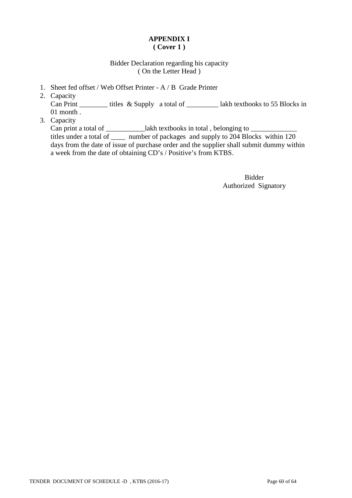# **APPENDIX I ( Cover 1 )**

# Bidder Declaration regarding his capacity ( On the Letter Head )

- 1. Sheet fed offset / Web Offset Printer A / B Grade Printer
- 2. Capacity Can Print \_\_\_\_\_\_\_\_\_ titles & Supply a total of \_\_\_\_\_\_\_\_\_\_\_ lakh textbooks to 55 Blocks in 01 month .
- 3. Capacity

Can print a total of \_\_\_\_\_\_\_\_\_\_\_\_lakh textbooks in total, belonging to \_\_\_\_\_\_\_\_\_\_\_\_\_\_ titles under a total of \_\_\_\_ number of packages and supply to 204 Blocks within 120 days from the date of issue of purchase order and the supplier shall submit dummy within a week from the date of obtaining CD's / Positive's from KTBS.

> Bidder Authorized Signatory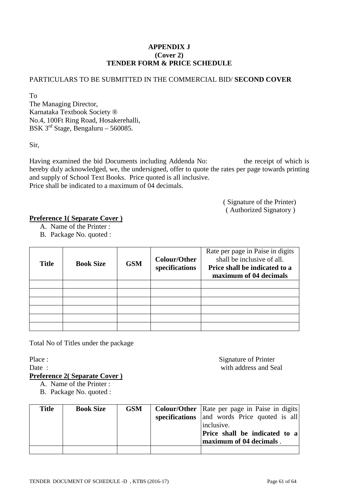# **APPENDIX J (Cover 2) TENDER FORM & PRICE SCHEDULE**

# PARTICULARS TO BE SUBMITTED IN THE COMMERCIAL BID/ **SECOND COVER**

To The Managing Director, Karnataka Textbook Society ® No.4, 100Ft Ring Road, Hosakerehalli, BSK 3rd Stage, Bengaluru – 560085.

Sir,

Having examined the bid Documents including Addenda No: the receipt of which is hereby duly acknowledged, we, the undersigned, offer to quote the rates per page towards printing and supply of School Text Books. Price quoted is all inclusive. Price shall be indicated to a maximum of 04 decimals.

> ( Signature of the Printer) ( Authorized Signatory )

# **Preference 1( Separate Cover )**

- A. Name of the Printer :
- B. Package No. quoted :

| <b>Title</b> | <b>Book Size</b> | <b>GSM</b> | <b>Colour/Other</b><br>specifications | Rate per page in Paise in digits<br>shall be inclusive of all.<br>Price shall be indicated to a<br>maximum of 04 decimals |
|--------------|------------------|------------|---------------------------------------|---------------------------------------------------------------------------------------------------------------------------|
|              |                  |            |                                       |                                                                                                                           |
|              |                  |            |                                       |                                                                                                                           |
|              |                  |            |                                       |                                                                                                                           |
|              |                  |            |                                       |                                                                                                                           |
|              |                  |            |                                       |                                                                                                                           |
|              |                  |            |                                       |                                                                                                                           |

Total No of Titles under the package

Place : Signature of Printer Date : with address and Seal

**Preference 2( Separate Cover )**

- A. Name of the Printer :
- B. Package No. quoted :

| <b>Title</b> | <b>Book Size</b> | <b>GSM</b> | <b>Colour/Other</b>   Rate per page in Paise in digits |
|--------------|------------------|------------|--------------------------------------------------------|
|              |                  |            | specifications and words Price quoted is all           |
|              |                  |            | inclusive.                                             |
|              |                  |            | Price shall be indicated to a                          |
|              |                  |            | maximum of 04 decimals.                                |
|              |                  |            |                                                        |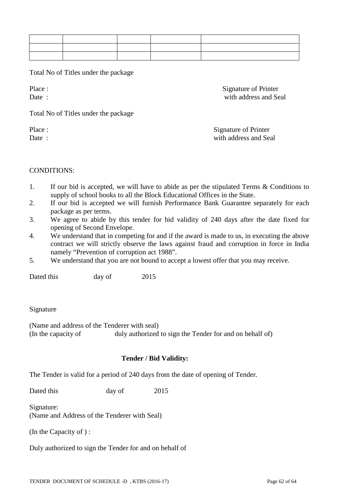Total No of Titles under the package

Place : Signature of Printer Date : with address and Seal

Total No of Titles under the package

Place : Signature of Printer Date : with address and Seal

# CONDITIONS:

- 1. If our bid is accepted, we will have to abide as per the stipulated Terms & Conditions to supply of school books to all the Block Educational Offices in the State.
- 2. If our bid is accepted we will furnish Performance Bank Guarantee separately for each package as per terms.
- 3. We agree to abide by this tender for bid validity of 240 days after the date fixed for opening of Second Envelope.
- 4. We understand that in competing for and if the award is made to us, in executing the above contract we will strictly observe the laws against fraud and corruption in force in India namely "Prevention of corruption act 1988".
- 5. We understand that you are not bound to accept a lowest offer that you may receive.

Dated this day of 2015

#### Signature

(Name and address of the Tenderer with seal) (In the capacity of duly authorized to sign the Tender for and on behalf of)

# **Tender / Bid Validity:**

The Tender is valid for a period of 240 days from the date of opening of Tender.

Dated this day of 2015

Signature:

(Name and Address of the Tenderer with Seal)

(In the Capacity of ) :

Duly authorized to sign the Tender for and on behalf of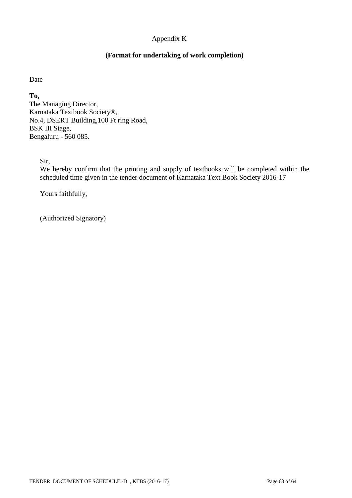# Appendix K

# **(Format for undertaking of work completion)**

Date

**To,** The Managing Director, Karnataka Textbook Society®, No.4, DSERT Building,100 Ft ring Road, BSK III Stage, Bengaluru - 560 085.

Sir,

We hereby confirm that the printing and supply of textbooks will be completed within the scheduled time given in the tender document of Karnataka Text Book Society 2016-17

Yours faithfully,

(Authorized Signatory)